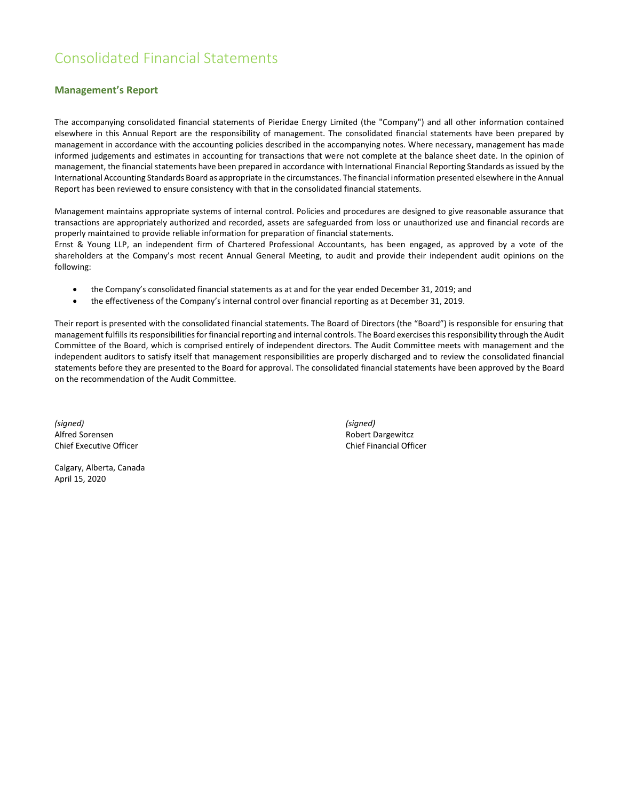# Consolidated Financial Statements

# **Management's Report**

The accompanying consolidated financial statements of Pieridae Energy Limited (the "Company") and all other information contained elsewhere in this Annual Report are the responsibility of management. The consolidated financial statements have been prepared by management in accordance with the accounting policies described in the accompanying notes. Where necessary, management has made informed judgements and estimates in accounting for transactions that were not complete at the balance sheet date. In the opinion of management, the financial statements have been prepared in accordance with International Financial Reporting Standards as issued by the International Accounting Standards Board as appropriate in the circumstances. The financial information presented elsewhere in the Annual Report has been reviewed to ensure consistency with that in the consolidated financial statements.

Management maintains appropriate systems of internal control. Policies and procedures are designed to give reasonable assurance that transactions are appropriately authorized and recorded, assets are safeguarded from loss or unauthorized use and financial records are properly maintained to provide reliable information for preparation of financial statements.

Ernst & Young LLP, an independent firm of Chartered Professional Accountants, has been engaged, as approved by a vote of the shareholders at the Company's most recent Annual General Meeting, to audit and provide their independent audit opinions on the following:

- the Company's consolidated financial statements as at and for the year ended December 31, 2019; and
- the effectiveness of the Company's internal control over financial reporting as at December 31, 2019.

Their report is presented with the consolidated financial statements. The Board of Directors (the "Board") is responsible for ensuring that management fulfills its responsibilities for financial reporting and internal controls. The Board exercises this responsibility through the Audit Committee of the Board, which is comprised entirely of independent directors. The Audit Committee meets with management and the independent auditors to satisfy itself that management responsibilities are properly discharged and to review the consolidated financial statements before they are presented to the Board for approval. The consolidated financial statements have been approved by the Board on the recommendation of the Audit Committee.

*(signed) (signed)* Alfred Sorensen **Robert Dargewitcz Robert Dargewitcz Robert Dargewitcz Robert Dargewitcz** Chief Executive Officer Chief Financial Officer

Calgary, Alberta, Canada April 15, 2020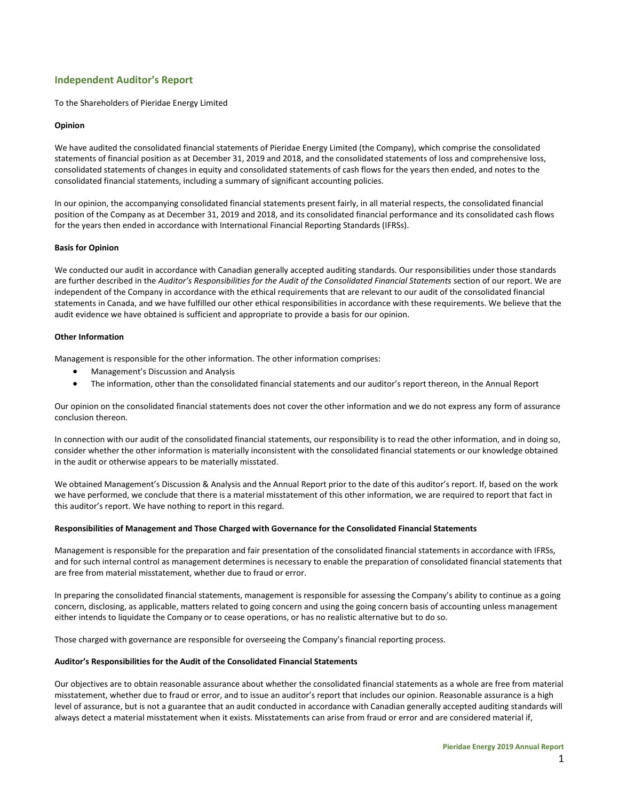### **Independent Auditor's Report**

To the Shareholders of Pieridae Energy Limited

#### **Opinion**

We have audited the consolidated financial statements of Pieridae Energy Limited (the Company), which comprise the consolidated statements of financial position as at December 31, 2019 and 2018, and the consolidated statements of loss and comprehensive loss, consolidated statements of changes in equity and consolidated statements of cash flows for the years then ended, and notes to the consolidated financial statements, including a summary of significant accounting policies.

In our opinion, the accompanying consolidated financial statements present fairly, in all material respects, the consolidated financial position of the Company as at December 31, 2019 and 2018, and its consolidated financial performance and its consolidated cash flows for the years then ended in accordance with International Financial Reporting Standards (IFRSs).

#### **Basis for Opinion**

We conducted our audit in accordance with Canadian generally accepted auditing standards. Our responsibilities under those standards are further described in the *Auditor's Responsibilities for the Audit of the Consolidated Financial Statements section of our report. We are* independent of the Company in accordance with the ethical requirements that are relevant to our audit of the consolidated financial statements in Canada, and we have fulfilled our other ethical responsibilities in accordance with these requirements. We believe that the audit evidence we have obtained is sufficient and appropriate to provide a basis for our opinion.

#### **Other Information**

Management is responsible for the other information. The other information comprises:

- Management's Discussion and Analysis
- The information, other than the consolidated financial statements and our auditor's report thereon, in the Annual Report

Our opinion on the consolidated financial statements does not cover the other information and we do not express any form of assurance conclusion thereon.

In connection with our audit of the consolidated financial statements, our responsibility is to read the other information, and in doing so, consider whether the other information is materially inconsistent with the consolidated financial statements or our knowledge obtained in the audit or otherwise appears to be materially misstated.

We obtained Management's Discussion & Analysis and the Annual Report prior to the date of this auditor's report. If, based on the work we have performed, we conclude that there is a material misstatement of this other information, we are required to report that fact in this auditor's report. We have nothing to report in this regard.

#### **Responsibilities of Management and Those Charged with Governance for the Consolidated Financial Statements**

Management is responsible for the preparation and fair presentation of the consolidated financial statements in accordance with IFRSs, and for such internal control as management determines is necessary to enable the preparation of consolidated financial statements that are free from material misstatement, whether due to fraud or error.

In preparing the consolidated financial statements, management is responsible for assessing the Company's ability to continue as a going concern, disclosing, as applicable, matters related to going concern and using the going concern basis of accounting unless management either intends to liquidate the Company or to cease operations, or has no realistic alternative but to do so.

Those charged with governance are responsible for overseeing the Company's financial reporting process.

#### **Auditor's Responsibilities for the Audit of the Consolidated Financial Statements**

Our objectives are to obtain reasonable assurance about whether the consolidated financial statements as a whole are free from material misstatement, whether due to fraud or error, and to issue an auditor's report that includes our opinion. Reasonable assurance is a high level of assurance, but is not a guarantee that an audit conducted in accordance with Canadian generally accepted auditing standards will always detect a material misstatement when it exists. Misstatements can arise from fraud or error and are considered material if,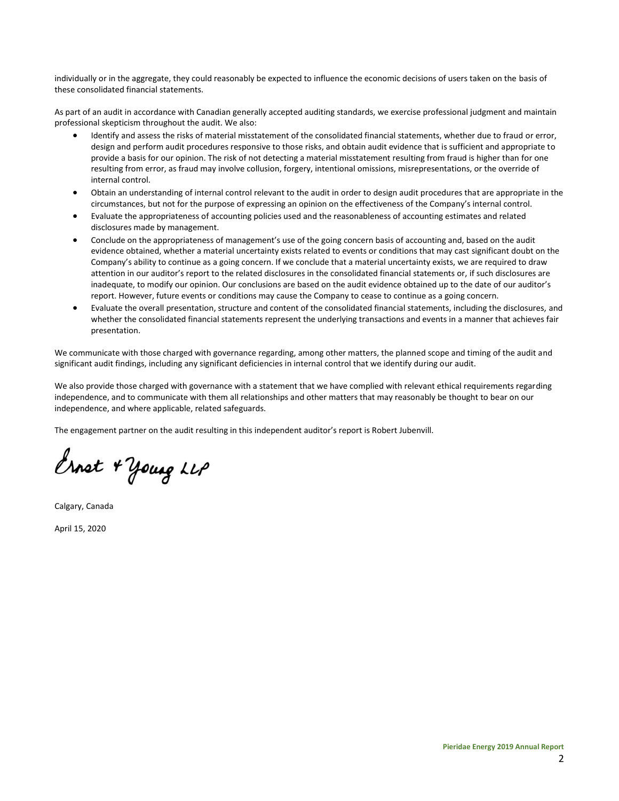individually or in the aggregate, they could reasonably be expected to influence the economic decisions of users taken on the basis of these consolidated financial statements.

As part of an audit in accordance with Canadian generally accepted auditing standards, we exercise professional judgment and maintain professional skepticism throughout the audit. We also:

- Identify and assess the risks of material misstatement of the consolidated financial statements, whether due to fraud or error, design and perform audit procedures responsive to those risks, and obtain audit evidence that is sufficient and appropriate to provide a basis for our opinion. The risk of not detecting a material misstatement resulting from fraud is higher than for one resulting from error, as fraud may involve collusion, forgery, intentional omissions, misrepresentations, or the override of internal control.
- Obtain an understanding of internal control relevant to the audit in order to design audit procedures that are appropriate in the circumstances, but not for the purpose of expressing an opinion on the effectiveness of the Company's internal control.
- Evaluate the appropriateness of accounting policies used and the reasonableness of accounting estimates and related disclosures made by management.
- Conclude on the appropriateness of management's use of the going concern basis of accounting and, based on the audit evidence obtained, whether a material uncertainty exists related to events or conditions that may cast significant doubt on the Company's ability to continue as a going concern. If we conclude that a material uncertainty exists, we are required to draw attention in our auditor's report to the related disclosures in the consolidated financial statements or, if such disclosures are inadequate, to modify our opinion. Our conclusions are based on the audit evidence obtained up to the date of our auditor's report. However, future events or conditions may cause the Company to cease to continue as a going concern.
- Evaluate the overall presentation, structure and content of the consolidated financial statements, including the disclosures, and whether the consolidated financial statements represent the underlying transactions and events in a manner that achieves fair presentation.

We communicate with those charged with governance regarding, among other matters, the planned scope and timing of the audit and significant audit findings, including any significant deficiencies in internal control that we identify during our audit.

We also provide those charged with governance with a statement that we have complied with relevant ethical requirements regarding independence, and to communicate with them all relationships and other matters that may reasonably be thought to bear on our independence, and where applicable, related safeguards.

The engagement partner on the audit resulting in this independent auditor's report is Robert Jubenvill.

Ernet + Young LLP

Calgary, Canada

April 15, 2020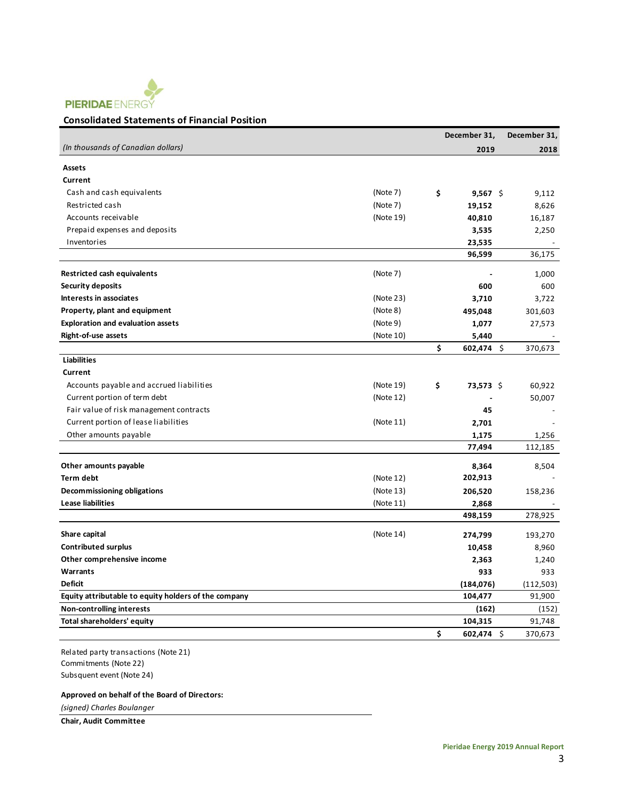

# **Consolidated Statements of Financial Position**

|                                                      |           | December 31,       | December 31,  |
|------------------------------------------------------|-----------|--------------------|---------------|
| (In thousands of Canadian dollars)                   |           | 2019               | 2018          |
| Assets                                               |           |                    |               |
| Current                                              |           |                    |               |
| Cash and cash equivalents                            | (Note 7)  | \$<br>$9,567$ \$   | 9,112         |
| Restricted cash                                      | (Note 7)  | 19,152             | 8,626         |
| Accounts receivable                                  | (Note 19) | 40,810             | 16,187        |
| Prepaid expenses and deposits                        |           | 3,535              | 2,250         |
| Inventories                                          |           | 23,535             |               |
|                                                      |           | 96,599             | 36,175        |
| <b>Restricted cash equivalents</b>                   | (Note 7)  |                    | 1,000         |
| <b>Security deposits</b>                             |           | 600                | 600           |
| Interests in associates                              | (Note 23) | 3,710              | 3,722         |
| Property, plant and equipment                        | (Note 8)  | 495,048            | 301,603       |
| <b>Exploration and evaluation assets</b>             | (Note 9)  | 1,077              | 27,573        |
| <b>Right-of-use assets</b>                           | (Note 10) | 5,440              |               |
|                                                      |           | \$<br>$602,474$ \$ | 370,673       |
| <b>Liabilities</b>                                   |           |                    |               |
| Current                                              |           |                    |               |
| Accounts payable and accrued liabilities             | (Note 19) | \$<br>73,573 \$    | 60,922        |
| Current portion of term debt                         | (Note 12) |                    | 50,007        |
| Fair value of risk management contracts              |           | 45                 |               |
| Current portion of lease liabilities                 | (Note 11) | 2,701              |               |
| Other amounts payable                                |           | 1,175              | 1,256         |
|                                                      |           | 77,494             | 112,185       |
| Other amounts payable                                |           | 8,364              | 8,504         |
| Term debt                                            | (Note 12) | 202,913            |               |
| Decommissioning obligations                          | (Note 13) | 206,520            | 158,236       |
| <b>Lease liabilities</b>                             | (Note 11) | 2,868              |               |
|                                                      |           | 498,159            | 278,925       |
| Share capital                                        | (Note 14) | 274,799            | 193,270       |
| <b>Contributed surplus</b>                           |           | 10,458             | 8,960         |
| Other comprehensive income                           |           | 2,363              | 1,240         |
| Warrants                                             |           | 933                | 933           |
| <b>Deficit</b>                                       |           | (184, 076)         | (112,503)     |
| Equity attributable to equity holders of the company |           | 104,477            | 91,900        |
| <b>Non-controlling interests</b>                     |           | (162)              | (152)         |
| Total shareholders' equity                           |           | 104,315            | 91,748        |
|                                                      |           | \$<br>602,474      | \$<br>370,673 |

Related party transactions (Note 21) Commitments (Note 22) Subsquent event (Note 24)

# **Approved on behalf of the Board of Directors:**

*(signed) Charles Boulanger*

**Chair, Audit Committee**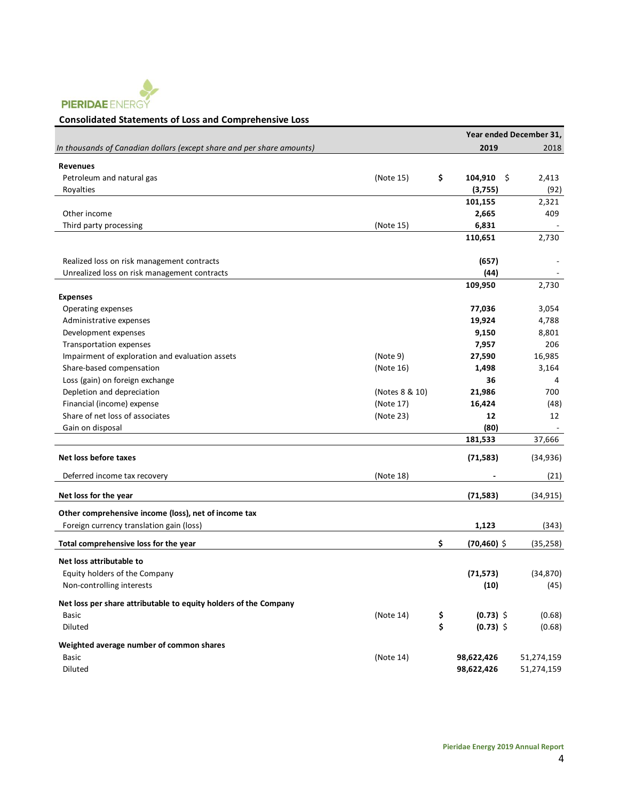

# **Consolidated Statements of Loss and Comprehensive Loss**

| 2019<br>In thousands of Canadian dollars (except share and per share amounts)<br>2018<br><b>Revenues</b><br>(Note 15)<br>\$<br>$104,910$ \$<br>Petroleum and natural gas<br>2,413<br>(3,755)<br>Royalties<br>(92)<br>101,155<br>2,321<br>409<br>Other income<br>2,665<br>6,831<br>Third party processing<br>(Note 15)<br>2,730<br>110,651<br>Realized loss on risk management contracts<br>(657)<br>(44)<br>Unrealized loss on risk management contracts<br>109,950<br>2,730<br><b>Expenses</b><br>77,036<br>3,054<br>Operating expenses<br>19,924<br>Administrative expenses<br>4,788<br>Development expenses<br>9,150<br>8,801<br>Transportation expenses<br>7,957<br>206<br>Impairment of exploration and evaluation assets<br>27,590<br>16,985<br>(Note 9)<br>Share-based compensation<br>1,498<br>(Note 16)<br>3,164<br>Loss (gain) on foreign exchange<br>36<br>4<br>Depletion and depreciation<br>(Notes 8 & 10)<br>21,986<br>700<br>Financial (income) expense<br>(Note 17)<br>16,424<br>(48)<br>Share of net loss of associates<br>(Note 23)<br>12<br>12<br>Gain on disposal<br>(80)<br>181,533<br>37,666<br>Net loss before taxes<br>(71, 583)<br>(34, 936)<br>Deferred income tax recovery<br>(Note 18)<br>(21)<br>(71, 583)<br>(34, 915)<br>Net loss for the year<br>Other comprehensive income (loss), net of income tax<br>Foreign currency translation gain (loss)<br>1,123<br>(343)<br>\$<br>$(70, 460)$ \$<br>(35, 258)<br>Total comprehensive loss for the year<br>Net loss attributable to<br>Equity holders of the Company<br>(71, 573)<br>(34, 870)<br>Non-controlling interests<br>(10)<br>(45)<br>Net loss per share attributable to equity holders of the Company<br>$(0.73)$ \$<br>(Note 14)<br>\$<br>(0.68)<br><b>Basic</b><br>\$<br>$(0.73)$ \$<br>Diluted<br>(0.68)<br>Weighted average number of common shares |              |           |            | Year ended December 31, |
|---------------------------------------------------------------------------------------------------------------------------------------------------------------------------------------------------------------------------------------------------------------------------------------------------------------------------------------------------------------------------------------------------------------------------------------------------------------------------------------------------------------------------------------------------------------------------------------------------------------------------------------------------------------------------------------------------------------------------------------------------------------------------------------------------------------------------------------------------------------------------------------------------------------------------------------------------------------------------------------------------------------------------------------------------------------------------------------------------------------------------------------------------------------------------------------------------------------------------------------------------------------------------------------------------------------------------------------------------------------------------------------------------------------------------------------------------------------------------------------------------------------------------------------------------------------------------------------------------------------------------------------------------------------------------------------------------------------------------------------------------------------------------------------------------------------------------------------------|--------------|-----------|------------|-------------------------|
|                                                                                                                                                                                                                                                                                                                                                                                                                                                                                                                                                                                                                                                                                                                                                                                                                                                                                                                                                                                                                                                                                                                                                                                                                                                                                                                                                                                                                                                                                                                                                                                                                                                                                                                                                                                                                                             |              |           |            |                         |
|                                                                                                                                                                                                                                                                                                                                                                                                                                                                                                                                                                                                                                                                                                                                                                                                                                                                                                                                                                                                                                                                                                                                                                                                                                                                                                                                                                                                                                                                                                                                                                                                                                                                                                                                                                                                                                             |              |           |            |                         |
|                                                                                                                                                                                                                                                                                                                                                                                                                                                                                                                                                                                                                                                                                                                                                                                                                                                                                                                                                                                                                                                                                                                                                                                                                                                                                                                                                                                                                                                                                                                                                                                                                                                                                                                                                                                                                                             |              |           |            |                         |
|                                                                                                                                                                                                                                                                                                                                                                                                                                                                                                                                                                                                                                                                                                                                                                                                                                                                                                                                                                                                                                                                                                                                                                                                                                                                                                                                                                                                                                                                                                                                                                                                                                                                                                                                                                                                                                             |              |           |            |                         |
|                                                                                                                                                                                                                                                                                                                                                                                                                                                                                                                                                                                                                                                                                                                                                                                                                                                                                                                                                                                                                                                                                                                                                                                                                                                                                                                                                                                                                                                                                                                                                                                                                                                                                                                                                                                                                                             |              |           |            |                         |
|                                                                                                                                                                                                                                                                                                                                                                                                                                                                                                                                                                                                                                                                                                                                                                                                                                                                                                                                                                                                                                                                                                                                                                                                                                                                                                                                                                                                                                                                                                                                                                                                                                                                                                                                                                                                                                             |              |           |            |                         |
|                                                                                                                                                                                                                                                                                                                                                                                                                                                                                                                                                                                                                                                                                                                                                                                                                                                                                                                                                                                                                                                                                                                                                                                                                                                                                                                                                                                                                                                                                                                                                                                                                                                                                                                                                                                                                                             |              |           |            |                         |
|                                                                                                                                                                                                                                                                                                                                                                                                                                                                                                                                                                                                                                                                                                                                                                                                                                                                                                                                                                                                                                                                                                                                                                                                                                                                                                                                                                                                                                                                                                                                                                                                                                                                                                                                                                                                                                             |              |           |            |                         |
|                                                                                                                                                                                                                                                                                                                                                                                                                                                                                                                                                                                                                                                                                                                                                                                                                                                                                                                                                                                                                                                                                                                                                                                                                                                                                                                                                                                                                                                                                                                                                                                                                                                                                                                                                                                                                                             |              |           |            |                         |
|                                                                                                                                                                                                                                                                                                                                                                                                                                                                                                                                                                                                                                                                                                                                                                                                                                                                                                                                                                                                                                                                                                                                                                                                                                                                                                                                                                                                                                                                                                                                                                                                                                                                                                                                                                                                                                             |              |           |            |                         |
|                                                                                                                                                                                                                                                                                                                                                                                                                                                                                                                                                                                                                                                                                                                                                                                                                                                                                                                                                                                                                                                                                                                                                                                                                                                                                                                                                                                                                                                                                                                                                                                                                                                                                                                                                                                                                                             |              |           |            |                         |
|                                                                                                                                                                                                                                                                                                                                                                                                                                                                                                                                                                                                                                                                                                                                                                                                                                                                                                                                                                                                                                                                                                                                                                                                                                                                                                                                                                                                                                                                                                                                                                                                                                                                                                                                                                                                                                             |              |           |            |                         |
|                                                                                                                                                                                                                                                                                                                                                                                                                                                                                                                                                                                                                                                                                                                                                                                                                                                                                                                                                                                                                                                                                                                                                                                                                                                                                                                                                                                                                                                                                                                                                                                                                                                                                                                                                                                                                                             |              |           |            |                         |
|                                                                                                                                                                                                                                                                                                                                                                                                                                                                                                                                                                                                                                                                                                                                                                                                                                                                                                                                                                                                                                                                                                                                                                                                                                                                                                                                                                                                                                                                                                                                                                                                                                                                                                                                                                                                                                             |              |           |            |                         |
|                                                                                                                                                                                                                                                                                                                                                                                                                                                                                                                                                                                                                                                                                                                                                                                                                                                                                                                                                                                                                                                                                                                                                                                                                                                                                                                                                                                                                                                                                                                                                                                                                                                                                                                                                                                                                                             |              |           |            |                         |
|                                                                                                                                                                                                                                                                                                                                                                                                                                                                                                                                                                                                                                                                                                                                                                                                                                                                                                                                                                                                                                                                                                                                                                                                                                                                                                                                                                                                                                                                                                                                                                                                                                                                                                                                                                                                                                             |              |           |            |                         |
|                                                                                                                                                                                                                                                                                                                                                                                                                                                                                                                                                                                                                                                                                                                                                                                                                                                                                                                                                                                                                                                                                                                                                                                                                                                                                                                                                                                                                                                                                                                                                                                                                                                                                                                                                                                                                                             |              |           |            |                         |
|                                                                                                                                                                                                                                                                                                                                                                                                                                                                                                                                                                                                                                                                                                                                                                                                                                                                                                                                                                                                                                                                                                                                                                                                                                                                                                                                                                                                                                                                                                                                                                                                                                                                                                                                                                                                                                             |              |           |            |                         |
|                                                                                                                                                                                                                                                                                                                                                                                                                                                                                                                                                                                                                                                                                                                                                                                                                                                                                                                                                                                                                                                                                                                                                                                                                                                                                                                                                                                                                                                                                                                                                                                                                                                                                                                                                                                                                                             |              |           |            |                         |
|                                                                                                                                                                                                                                                                                                                                                                                                                                                                                                                                                                                                                                                                                                                                                                                                                                                                                                                                                                                                                                                                                                                                                                                                                                                                                                                                                                                                                                                                                                                                                                                                                                                                                                                                                                                                                                             |              |           |            |                         |
|                                                                                                                                                                                                                                                                                                                                                                                                                                                                                                                                                                                                                                                                                                                                                                                                                                                                                                                                                                                                                                                                                                                                                                                                                                                                                                                                                                                                                                                                                                                                                                                                                                                                                                                                                                                                                                             |              |           |            |                         |
|                                                                                                                                                                                                                                                                                                                                                                                                                                                                                                                                                                                                                                                                                                                                                                                                                                                                                                                                                                                                                                                                                                                                                                                                                                                                                                                                                                                                                                                                                                                                                                                                                                                                                                                                                                                                                                             |              |           |            |                         |
|                                                                                                                                                                                                                                                                                                                                                                                                                                                                                                                                                                                                                                                                                                                                                                                                                                                                                                                                                                                                                                                                                                                                                                                                                                                                                                                                                                                                                                                                                                                                                                                                                                                                                                                                                                                                                                             |              |           |            |                         |
|                                                                                                                                                                                                                                                                                                                                                                                                                                                                                                                                                                                                                                                                                                                                                                                                                                                                                                                                                                                                                                                                                                                                                                                                                                                                                                                                                                                                                                                                                                                                                                                                                                                                                                                                                                                                                                             |              |           |            |                         |
|                                                                                                                                                                                                                                                                                                                                                                                                                                                                                                                                                                                                                                                                                                                                                                                                                                                                                                                                                                                                                                                                                                                                                                                                                                                                                                                                                                                                                                                                                                                                                                                                                                                                                                                                                                                                                                             |              |           |            |                         |
|                                                                                                                                                                                                                                                                                                                                                                                                                                                                                                                                                                                                                                                                                                                                                                                                                                                                                                                                                                                                                                                                                                                                                                                                                                                                                                                                                                                                                                                                                                                                                                                                                                                                                                                                                                                                                                             |              |           |            |                         |
|                                                                                                                                                                                                                                                                                                                                                                                                                                                                                                                                                                                                                                                                                                                                                                                                                                                                                                                                                                                                                                                                                                                                                                                                                                                                                                                                                                                                                                                                                                                                                                                                                                                                                                                                                                                                                                             |              |           |            |                         |
|                                                                                                                                                                                                                                                                                                                                                                                                                                                                                                                                                                                                                                                                                                                                                                                                                                                                                                                                                                                                                                                                                                                                                                                                                                                                                                                                                                                                                                                                                                                                                                                                                                                                                                                                                                                                                                             |              |           |            |                         |
|                                                                                                                                                                                                                                                                                                                                                                                                                                                                                                                                                                                                                                                                                                                                                                                                                                                                                                                                                                                                                                                                                                                                                                                                                                                                                                                                                                                                                                                                                                                                                                                                                                                                                                                                                                                                                                             |              |           |            |                         |
|                                                                                                                                                                                                                                                                                                                                                                                                                                                                                                                                                                                                                                                                                                                                                                                                                                                                                                                                                                                                                                                                                                                                                                                                                                                                                                                                                                                                                                                                                                                                                                                                                                                                                                                                                                                                                                             |              |           |            |                         |
|                                                                                                                                                                                                                                                                                                                                                                                                                                                                                                                                                                                                                                                                                                                                                                                                                                                                                                                                                                                                                                                                                                                                                                                                                                                                                                                                                                                                                                                                                                                                                                                                                                                                                                                                                                                                                                             |              |           |            |                         |
|                                                                                                                                                                                                                                                                                                                                                                                                                                                                                                                                                                                                                                                                                                                                                                                                                                                                                                                                                                                                                                                                                                                                                                                                                                                                                                                                                                                                                                                                                                                                                                                                                                                                                                                                                                                                                                             |              |           |            |                         |
|                                                                                                                                                                                                                                                                                                                                                                                                                                                                                                                                                                                                                                                                                                                                                                                                                                                                                                                                                                                                                                                                                                                                                                                                                                                                                                                                                                                                                                                                                                                                                                                                                                                                                                                                                                                                                                             |              |           |            |                         |
|                                                                                                                                                                                                                                                                                                                                                                                                                                                                                                                                                                                                                                                                                                                                                                                                                                                                                                                                                                                                                                                                                                                                                                                                                                                                                                                                                                                                                                                                                                                                                                                                                                                                                                                                                                                                                                             |              |           |            |                         |
|                                                                                                                                                                                                                                                                                                                                                                                                                                                                                                                                                                                                                                                                                                                                                                                                                                                                                                                                                                                                                                                                                                                                                                                                                                                                                                                                                                                                                                                                                                                                                                                                                                                                                                                                                                                                                                             |              |           |            |                         |
|                                                                                                                                                                                                                                                                                                                                                                                                                                                                                                                                                                                                                                                                                                                                                                                                                                                                                                                                                                                                                                                                                                                                                                                                                                                                                                                                                                                                                                                                                                                                                                                                                                                                                                                                                                                                                                             |              |           |            |                         |
|                                                                                                                                                                                                                                                                                                                                                                                                                                                                                                                                                                                                                                                                                                                                                                                                                                                                                                                                                                                                                                                                                                                                                                                                                                                                                                                                                                                                                                                                                                                                                                                                                                                                                                                                                                                                                                             |              |           |            |                         |
|                                                                                                                                                                                                                                                                                                                                                                                                                                                                                                                                                                                                                                                                                                                                                                                                                                                                                                                                                                                                                                                                                                                                                                                                                                                                                                                                                                                                                                                                                                                                                                                                                                                                                                                                                                                                                                             | <b>Basic</b> | (Note 14) | 98,622,426 | 51,274,159              |
| Diluted<br>98,622,426<br>51,274,159                                                                                                                                                                                                                                                                                                                                                                                                                                                                                                                                                                                                                                                                                                                                                                                                                                                                                                                                                                                                                                                                                                                                                                                                                                                                                                                                                                                                                                                                                                                                                                                                                                                                                                                                                                                                         |              |           |            |                         |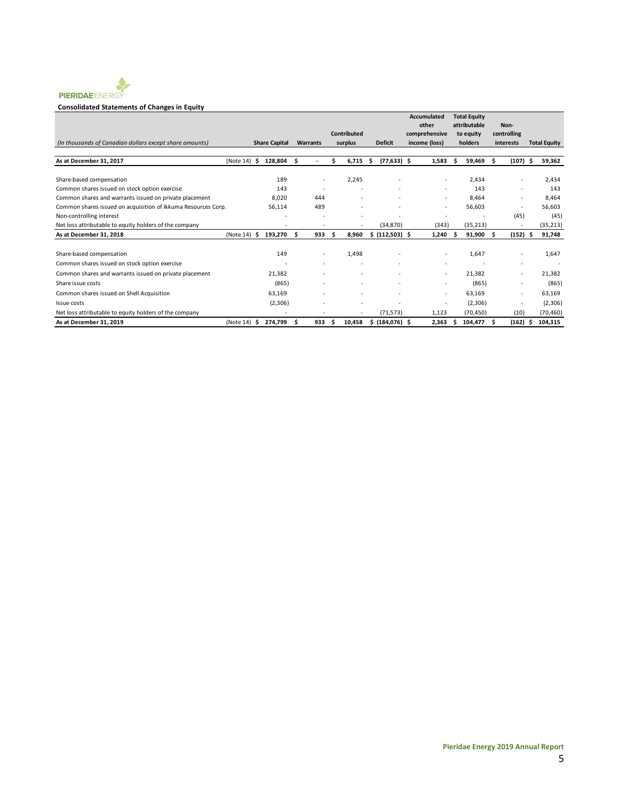

#### **Consolidated Statements of Changes in Equity**

|                                                               |                         |    |                      |                 |                          |    |                          |     |                          | Accumulated              |   | <b>Total Equity</b> |     |                          |     |                     |
|---------------------------------------------------------------|-------------------------|----|----------------------|-----------------|--------------------------|----|--------------------------|-----|--------------------------|--------------------------|---|---------------------|-----|--------------------------|-----|---------------------|
|                                                               |                         |    |                      |                 |                          |    |                          |     |                          | other                    |   | attributable        |     | Non-                     |     |                     |
|                                                               |                         |    |                      |                 |                          |    | Contributed              |     |                          | comprehensive            |   | to equity           |     | controlling              |     |                     |
| (In thousands of Canadian dollars except share amounts)       |                         |    | <b>Share Capital</b> | <b>Warrants</b> |                          |    | surplus                  |     | <b>Deficit</b>           | income (loss)            |   | holders             |     | interests                |     | <b>Total Equity</b> |
|                                                               |                         |    |                      |                 |                          |    |                          |     |                          |                          |   |                     |     |                          |     |                     |
| As at December 31, 2017                                       | (Note 14) $\frac{1}{5}$ |    | 128,804              | Ŝ.              |                          | Ś. | 6,715                    | \$. | $(77, 633)$ \$           | 1,583                    |   | 59,469              | \$. | $(107)$ \$               |     | 59,362              |
|                                                               |                         |    |                      |                 |                          |    |                          |     |                          |                          |   |                     |     |                          |     |                     |
| Share-based compensation                                      |                         |    | 189                  |                 |                          |    | 2,245                    |     |                          |                          |   | 2,434               |     |                          |     | 2,434               |
| Common shares issued on stock option exercise                 |                         |    | 143                  |                 | $\overline{\phantom{a}}$ |    |                          |     |                          | $\sim$                   |   | 143                 |     | $\overline{\phantom{a}}$ |     | 143                 |
| Common shares and warrants issued on private placement        |                         |    | 8,020                |                 | 444                      |    |                          |     |                          | ٠                        |   | 8.464               |     | $\overline{\phantom{a}}$ |     | 8,464               |
| Common shares issued on acquisition of Ikkuma Resources Corp. |                         |    | 56,114               |                 | 489                      |    |                          |     |                          | $\overline{\phantom{a}}$ |   | 56,603              |     | $\overline{\phantom{a}}$ |     | 56,603              |
| Non-controlling interest                                      |                         |    |                      |                 |                          |    |                          |     |                          | $\overline{\phantom{a}}$ |   |                     |     | (45)                     |     | (45)                |
| Net loss attributable to equity holders of the company        |                         |    |                      |                 |                          |    |                          |     | (34, 870)                | (343)                    |   | (35, 213)           |     | $\sim$                   |     | (35, 213)           |
| As at December 31, 2018                                       | (Note 14) $\frac{1}{5}$ |    | 193,270              | Ŝ.              | 933                      | Ŝ  | 8,960                    |     | \$ (112,503) \$          | 1,240                    | S | 91,900              | \$. | $(152)$ \$               |     | 91,748              |
|                                                               |                         |    |                      |                 |                          |    |                          |     |                          |                          |   |                     |     |                          |     |                     |
| Share-based compensation                                      |                         |    | 149                  |                 |                          |    | 1,498                    |     |                          |                          |   | 1,647               |     | ٠                        |     | 1,647               |
| Common shares issued on stock option exercise                 |                         |    |                      |                 |                          |    |                          |     |                          | ٠                        |   |                     |     |                          |     |                     |
| Common shares and warrants issued on private placement        |                         |    | 21,382               |                 |                          |    | $\overline{\phantom{a}}$ |     | $\overline{\phantom{a}}$ | $\sim$                   |   | 21,382              |     | $\overline{\phantom{a}}$ |     | 21,382              |
| Share issue costs                                             |                         |    | (865)                |                 |                          |    |                          |     | $\overline{\phantom{a}}$ | ٠                        |   | (865)               |     |                          |     | (865)               |
| Common shares issued on Shell Acquisition                     |                         |    | 63,169               |                 |                          |    |                          |     |                          | $\sim$                   |   | 63,169              |     | $\sim$                   |     | 63,169              |
| Issue costs                                                   |                         |    | (2,306)              |                 |                          |    |                          |     |                          | ٠                        |   | (2,306)             |     | $\overline{\phantom{a}}$ |     | (2,306)             |
| Net loss attributable to equity holders of the company        |                         |    |                      |                 |                          |    | $\overline{\phantom{a}}$ |     | (71, 573)                | 1,123                    |   | (70, 450)           |     | (10)                     |     | (70, 460)           |
| As at December 31, 2019                                       | (Note 14)               | -S | 274,799              | Ŝ.              | 933                      | Ŝ  | 10,458                   |     | \$ (184,076) \$          | 2,363                    |   | 104,477             | \$  | (162)                    | - S | 104,315             |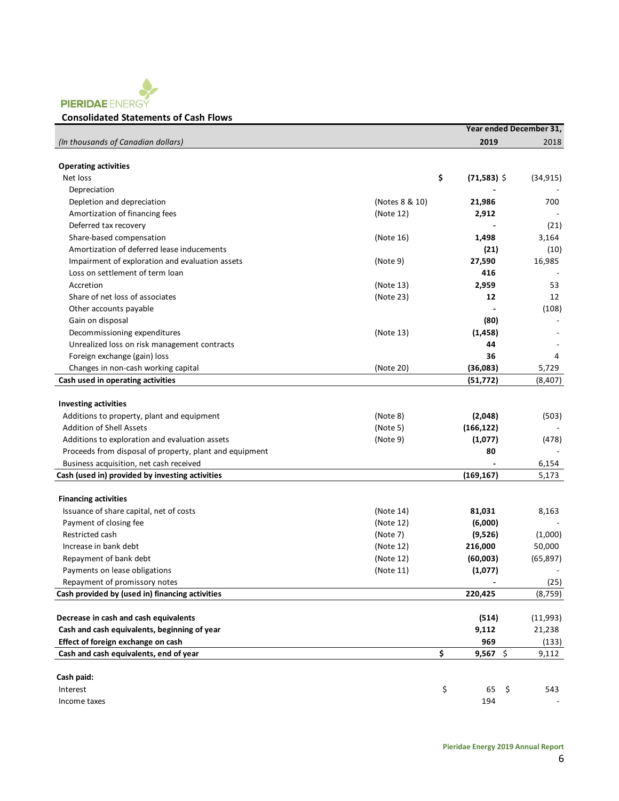

|                                                         |                |                     |      | Year ended December 31, |
|---------------------------------------------------------|----------------|---------------------|------|-------------------------|
| (In thousands of Canadian dollars)                      |                | 2019                |      | 2018                    |
|                                                         |                |                     |      |                         |
| <b>Operating activities</b><br>Net loss                 |                | \$<br>$(71,583)$ \$ |      | (34, 915)               |
| Depreciation                                            |                |                     |      |                         |
| Depletion and depreciation                              | (Notes 8 & 10) | 21,986              |      | 700                     |
| Amortization of financing fees                          | (Note 12)      | 2,912               |      |                         |
| Deferred tax recovery                                   |                |                     |      | (21)                    |
| Share-based compensation                                | (Note 16)      | 1,498               |      | 3,164                   |
| Amortization of deferred lease inducements              |                | (21)                |      | (10)                    |
| Impairment of exploration and evaluation assets         | (Note 9)       | 27,590              |      | 16,985                  |
| Loss on settlement of term loan                         |                | 416                 |      |                         |
| Accretion                                               | (Note 13)      | 2,959               |      | 53                      |
| Share of net loss of associates                         | (Note 23)      | 12                  |      | 12                      |
| Other accounts payable                                  |                |                     |      | (108)                   |
| Gain on disposal                                        |                | (80)                |      |                         |
| Decommissioning expenditures                            | (Note 13)      | (1, 458)            |      |                         |
| Unrealized loss on risk management contracts            |                | 44                  |      |                         |
| Foreign exchange (gain) loss                            |                | 36                  |      | 4                       |
| Changes in non-cash working capital                     | (Note 20)      | (36,083)            |      | 5,729                   |
| Cash used in operating activities                       |                | (51, 772)           |      | (8,407)                 |
|                                                         |                |                     |      |                         |
| <b>Investing activities</b>                             |                |                     |      |                         |
| Additions to property, plant and equipment              | (Note 8)       | (2,048)             |      | (503)                   |
| <b>Addition of Shell Assets</b>                         | (Note 5)       | (166, 122)          |      |                         |
| Additions to exploration and evaluation assets          | (Note 9)       | (1,077)             |      | (478)                   |
| Proceeds from disposal of property, plant and equipment |                | 80                  |      |                         |
| Business acquisition, net cash received                 |                |                     |      | 6,154                   |
| Cash (used in) provided by investing activities         |                | (169, 167)          |      | 5,173                   |
|                                                         |                |                     |      |                         |
| <b>Financing activities</b>                             |                |                     |      |                         |
| Issuance of share capital, net of costs                 | (Note 14)      | 81,031              |      | 8,163                   |
| Payment of closing fee                                  | (Note 12)      | (6,000)             |      |                         |
| Restricted cash                                         | (Note 7)       | (9,526)             |      | (1,000)                 |
| Increase in bank debt                                   | (Note 12)      | 216,000             |      | 50,000                  |
| Repayment of bank debt                                  | (Note 12)      | (60,003)            |      | (65, 897)               |
| Payments on lease obligations                           | (Note 11)      | (1,077)             |      |                         |
| Repayment of promissory notes                           |                |                     |      | (25)                    |
| Cash provided by (used in) financing activities         |                | 220,425             |      | (8, 759)                |
| Decrease in cash and cash equivalents                   |                | (514)               |      | (11,993)                |
| Cash and cash equivalents, beginning of year            |                | 9,112               |      | 21,238                  |
| Effect of foreign exchange on cash                      |                | 969                 |      | (133)                   |
| Cash and cash equivalents, end of year                  |                | \$<br>$9,567$ \$    |      | 9,112                   |
|                                                         |                |                     |      |                         |
| Cash paid:                                              |                |                     |      |                         |
| Interest                                                |                | \$<br>65            | - \$ | 543                     |
| Income taxes                                            |                | 194                 |      |                         |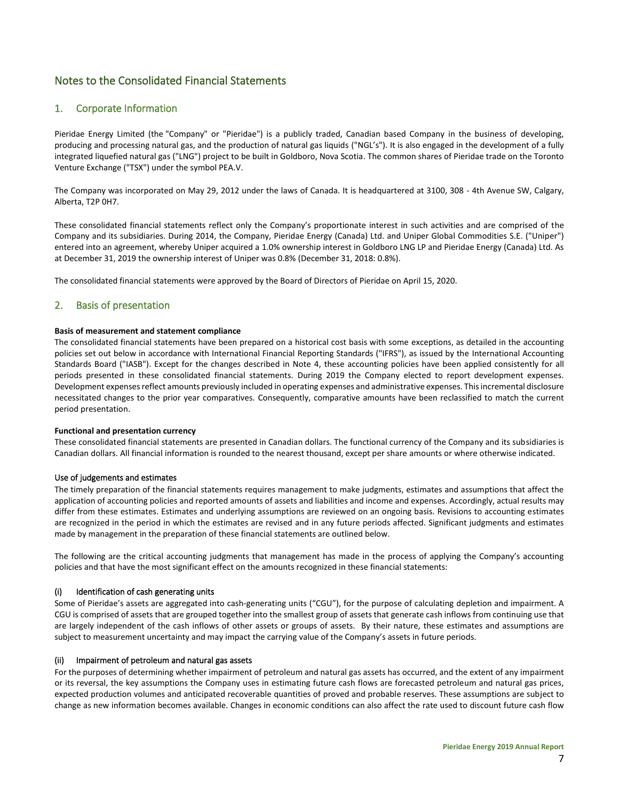# Notes to the Consolidated Financial Statements

# 1. Corporate Information

Pieridae Energy Limited (the "Company" or "Pieridae") is a publicly traded, Canadian based Company in the business of developing, producing and processing natural gas, and the production of natural gas liquids ("NGL's"). It is also engaged in the development of a fully integrated liquefied natural gas ("LNG") project to be built in Goldboro, Nova Scotia. The common shares of Pieridae trade on the Toronto Venture Exchange ("TSX") under the symbol PEA.V.

The Company was incorporated on May 29, 2012 under the laws of Canada. It is headquartered at 3100, 308 - 4th Avenue SW, Calgary, Alberta, T2P 0H7.

These consolidated financial statements reflect only the Company's proportionate interest in such activities and are comprised of the Company and its subsidiaries. During 2014, the Company, Pieridae Energy (Canada) Ltd. and Uniper Global Commodities S.E. ("Uniper") entered into an agreement, whereby Uniper acquired a 1.0% ownership interest in Goldboro LNG LP and Pieridae Energy (Canada) Ltd. As at December 31, 2019 the ownership interest of Uniper was 0.8% (December 31, 2018: 0.8%).

The consolidated financial statements were approved by the Board of Directors of Pieridae on April 15, 2020.

# 2. Basis of presentation

#### **Basis of measurement and statement compliance**

The consolidated financial statements have been prepared on a historical cost basis with some exceptions, as detailed in the accounting policies set out below in accordance with International Financial Reporting Standards ("IFRS"), as issued by the International Accounting Standards Board ("IASB"). Except for the changes described in Note 4, these accounting policies have been applied consistently for all periods presented in these consolidated financial statements. During 2019 the Company elected to report development expenses. Development expenses reflect amounts previously included in operating expenses and administrative expenses. This incremental disclosure necessitated changes to the prior year comparatives. Consequently, comparative amounts have been reclassified to match the current period presentation.

### **Functional and presentation currency**

These consolidated financial statements are presented in Canadian dollars. The functional currency of the Company and its subsidiaries is Canadian dollars. All financial information is rounded to the nearest thousand, except per share amounts or where otherwise indicated.

### Use of judgements and estimates

The timely preparation of the financial statements requires management to make judgments, estimates and assumptions that affect the application of accounting policies and reported amounts of assets and liabilities and income and expenses. Accordingly, actual results may differ from these estimates. Estimates and underlying assumptions are reviewed on an ongoing basis. Revisions to accounting estimates are recognized in the period in which the estimates are revised and in any future periods affected. Significant judgments and estimates made by management in the preparation of these financial statements are outlined below.

The following are the critical accounting judgments that management has made in the process of applying the Company's accounting policies and that have the most significant effect on the amounts recognized in these financial statements:

### (i) Identification of cash generating units

Some of Pieridae's assets are aggregated into cash-generating units ("CGU"), for the purpose of calculating depletion and impairment. A CGU is comprised of assets that are grouped together into the smallest group of assets that generate cash inflows from continuing use that are largely independent of the cash inflows of other assets or groups of assets. By their nature, these estimates and assumptions are subject to measurement uncertainty and may impact the carrying value of the Company's assets in future periods.

### (ii) Impairment of petroleum and natural gas assets

For the purposes of determining whether impairment of petroleum and natural gas assets has occurred, and the extent of any impairment or its reversal, the key assumptions the Company uses in estimating future cash flows are forecasted petroleum and natural gas prices, expected production volumes and anticipated recoverable quantities of proved and probable reserves. These assumptions are subject to change as new information becomes available. Changes in economic conditions can also affect the rate used to discount future cash flow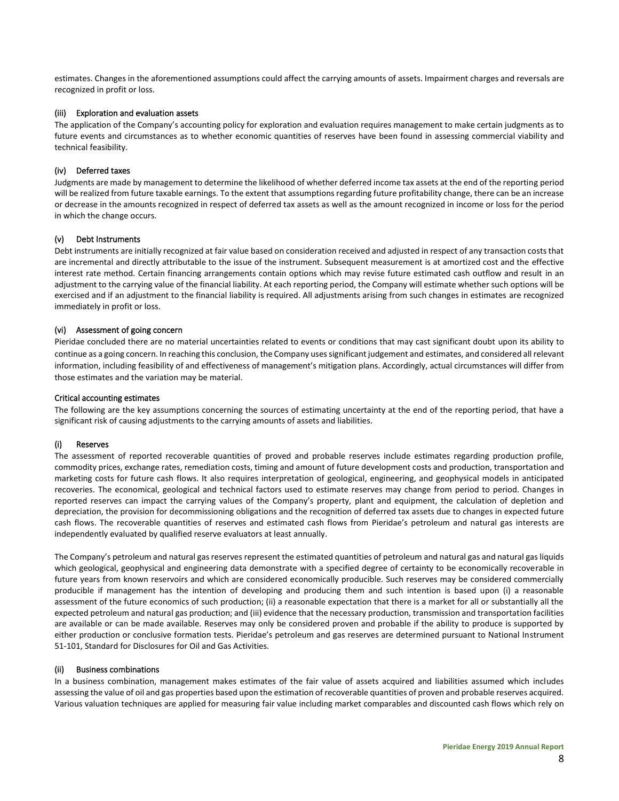estimates. Changes in the aforementioned assumptions could affect the carrying amounts of assets. Impairment charges and reversals are recognized in profit or loss.

#### (iii) Exploration and evaluation assets

The application of the Company's accounting policy for exploration and evaluation requires management to make certain judgments as to future events and circumstances as to whether economic quantities of reserves have been found in assessing commercial viability and technical feasibility.

#### (iv) Deferred taxes

Judgments are made by management to determine the likelihood of whether deferred income tax assets at the end of the reporting period will be realized from future taxable earnings. To the extent that assumptions regarding future profitability change, there can be an increase or decrease in the amounts recognized in respect of deferred tax assets as well as the amount recognized in income or loss for the period in which the change occurs.

#### (v) Debt Instruments

Debt instruments are initially recognized at fair value based on consideration received and adjusted in respect of any transaction costs that are incremental and directly attributable to the issue of the instrument. Subsequent measurement is at amortized cost and the effective interest rate method. Certain financing arrangements contain options which may revise future estimated cash outflow and result in an adjustment to the carrying value of the financial liability. At each reporting period, the Company will estimate whether such options will be exercised and if an adjustment to the financial liability is required. All adjustments arising from such changes in estimates are recognized immediately in profit or loss.

#### (vi) Assessment of going concern

Pieridae concluded there are no material uncertainties related to events or conditions that may cast significant doubt upon its ability to continue as a going concern. In reaching this conclusion, the Company uses significant judgement and estimates, and considered all relevant information, including feasibility of and effectiveness of management's mitigation plans. Accordingly, actual circumstances will differ from those estimates and the variation may be material.

#### Critical accounting estimates

The following are the key assumptions concerning the sources of estimating uncertainty at the end of the reporting period, that have a significant risk of causing adjustments to the carrying amounts of assets and liabilities.

#### (i) Reserves

The assessment of reported recoverable quantities of proved and probable reserves include estimates regarding production profile, commodity prices, exchange rates, remediation costs, timing and amount of future development costs and production, transportation and marketing costs for future cash flows. It also requires interpretation of geological, engineering, and geophysical models in anticipated recoveries. The economical, geological and technical factors used to estimate reserves may change from period to period. Changes in reported reserves can impact the carrying values of the Company's property, plant and equipment, the calculation of depletion and depreciation, the provision for decommissioning obligations and the recognition of deferred tax assets due to changes in expected future cash flows. The recoverable quantities of reserves and estimated cash flows from Pieridae's petroleum and natural gas interests are independently evaluated by qualified reserve evaluators at least annually.

The Company's petroleum and natural gas reserves represent the estimated quantities of petroleum and natural gas and natural gas liquids which geological, geophysical and engineering data demonstrate with a specified degree of certainty to be economically recoverable in future years from known reservoirs and which are considered economically producible. Such reserves may be considered commercially producible if management has the intention of developing and producing them and such intention is based upon (i) a reasonable assessment of the future economics of such production; (ii) a reasonable expectation that there is a market for all or substantially all the expected petroleum and natural gas production; and (iii) evidence that the necessary production, transmission and transportation facilities are available or can be made available. Reserves may only be considered proven and probable if the ability to produce is supported by either production or conclusive formation tests. Pieridae's petroleum and gas reserves are determined pursuant to National Instrument 51-101, Standard for Disclosures for Oil and Gas Activities.

#### (ii) Business combinations

In a business combination, management makes estimates of the fair value of assets acquired and liabilities assumed which includes assessing the value of oil and gas properties based upon the estimation of recoverable quantities of proven and probable reserves acquired. Various valuation techniques are applied for measuring fair value including market comparables and discounted cash flows which rely on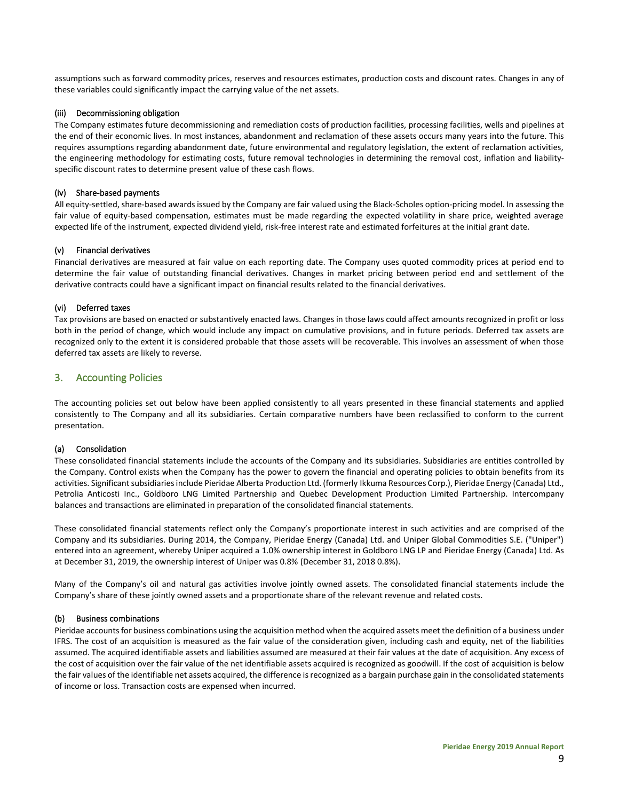assumptions such as forward commodity prices, reserves and resources estimates, production costs and discount rates. Changes in any of these variables could significantly impact the carrying value of the net assets.

#### (iii) Decommissioning obligation

The Company estimates future decommissioning and remediation costs of production facilities, processing facilities, wells and pipelines at the end of their economic lives. In most instances, abandonment and reclamation of these assets occurs many years into the future. This requires assumptions regarding abandonment date, future environmental and regulatory legislation, the extent of reclamation activities, the engineering methodology for estimating costs, future removal technologies in determining the removal cost, inflation and liabilityspecific discount rates to determine present value of these cash flows.

#### (iv) Share-based payments

All equity-settled, share-based awards issued by the Company are fair valued using the Black-Scholes option-pricing model. In assessing the fair value of equity-based compensation, estimates must be made regarding the expected volatility in share price, weighted average expected life of the instrument, expected dividend yield, risk-free interest rate and estimated forfeitures at the initial grant date.

#### (v) Financial derivatives

Financial derivatives are measured at fair value on each reporting date. The Company uses quoted commodity prices at period end to determine the fair value of outstanding financial derivatives. Changes in market pricing between period end and settlement of the derivative contracts could have a significant impact on financial results related to the financial derivatives.

### (vi) Deferred taxes

Tax provisions are based on enacted or substantively enacted laws. Changes in those laws could affect amounts recognized in profit or loss both in the period of change, which would include any impact on cumulative provisions, and in future periods. Deferred tax assets are recognized only to the extent it is considered probable that those assets will be recoverable. This involves an assessment of when those deferred tax assets are likely to reverse.

### 3. Accounting Policies

The accounting policies set out below have been applied consistently to all years presented in these financial statements and applied consistently to The Company and all its subsidiaries. Certain comparative numbers have been reclassified to conform to the current presentation.

### (a) Consolidation

These consolidated financial statements include the accounts of the Company and its subsidiaries. Subsidiaries are entities controlled by the Company. Control exists when the Company has the power to govern the financial and operating policies to obtain benefits from its activities. Significant subsidiaries include Pieridae Alberta Production Ltd. (formerly Ikkuma Resources Corp.), Pieridae Energy (Canada) Ltd., Petrolia Anticosti Inc., Goldboro LNG Limited Partnership and Quebec Development Production Limited Partnership. Intercompany balances and transactions are eliminated in preparation of the consolidated financial statements.

These consolidated financial statements reflect only the Company's proportionate interest in such activities and are comprised of the Company and its subsidiaries. During 2014, the Company, Pieridae Energy (Canada) Ltd. and Uniper Global Commodities S.E. ("Uniper") entered into an agreement, whereby Uniper acquired a 1.0% ownership interest in Goldboro LNG LP and Pieridae Energy (Canada) Ltd. As at December 31, 2019, the ownership interest of Uniper was 0.8% (December 31, 2018 0.8%).

Many of the Company's oil and natural gas activities involve jointly owned assets. The consolidated financial statements include the Company's share of these jointly owned assets and a proportionate share of the relevant revenue and related costs.

#### (b) Business combinations

Pieridae accounts for business combinations using the acquisition method when the acquired assets meet the definition of a business under IFRS. The cost of an acquisition is measured as the fair value of the consideration given, including cash and equity, net of the liabilities assumed. The acquired identifiable assets and liabilities assumed are measured at their fair values at the date of acquisition. Any excess of the cost of acquisition over the fair value of the net identifiable assets acquired is recognized as goodwill. If the cost of acquisition is below the fair values of the identifiable net assets acquired, the difference is recognized as a bargain purchase gain in the consolidated statements of income or loss. Transaction costs are expensed when incurred.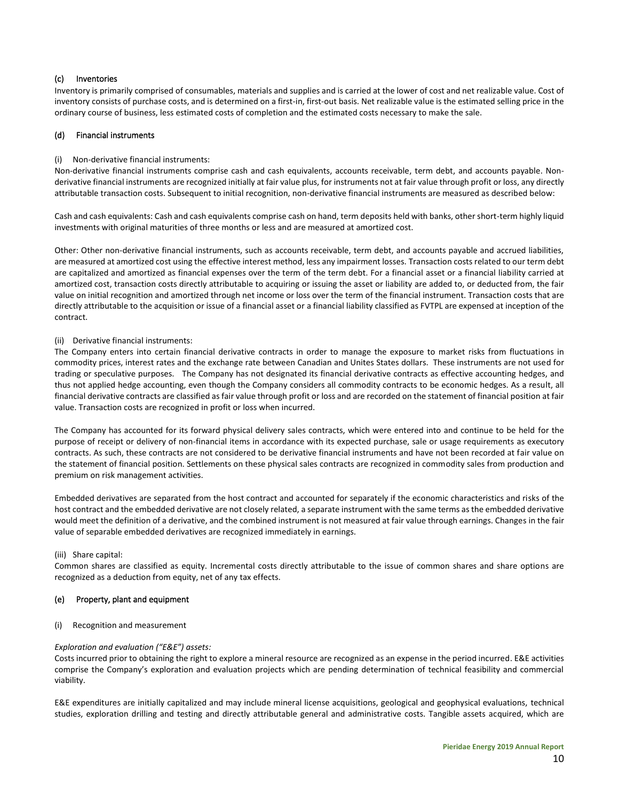### (c) Inventories

Inventory is primarily comprised of consumables, materials and supplies and is carried at the lower of cost and net realizable value. Cost of inventory consists of purchase costs, and is determined on a first-in, first-out basis. Net realizable value is the estimated selling price in the ordinary course of business, less estimated costs of completion and the estimated costs necessary to make the sale.

### (d) Financial instruments

### (i) Non-derivative financial instruments:

Non-derivative financial instruments comprise cash and cash equivalents, accounts receivable, term debt, and accounts payable. Nonderivative financial instruments are recognized initially at fair value plus, for instruments not at fair value through profit or loss, any directly attributable transaction costs. Subsequent to initial recognition, non-derivative financial instruments are measured as described below:

Cash and cash equivalents: Cash and cash equivalents comprise cash on hand, term deposits held with banks, other short-term highly liquid investments with original maturities of three months or less and are measured at amortized cost.

Other: Other non-derivative financial instruments, such as accounts receivable, term debt, and accounts payable and accrued liabilities, are measured at amortized cost using the effective interest method, less any impairment losses. Transaction costs related to our term debt are capitalized and amortized as financial expenses over the term of the term debt. For a financial asset or a financial liability carried at amortized cost, transaction costs directly attributable to acquiring or issuing the asset or liability are added to, or deducted from, the fair value on initial recognition and amortized through net income or loss over the term of the financial instrument. Transaction costs that are directly attributable to the acquisition or issue of a financial asset or a financial liability classified as FVTPL are expensed at inception of the contract.

#### (ii) Derivative financial instruments:

The Company enters into certain financial derivative contracts in order to manage the exposure to market risks from fluctuations in commodity prices, interest rates and the exchange rate between Canadian and Unites States dollars. These instruments are not used for trading or speculative purposes. The Company has not designated its financial derivative contracts as effective accounting hedges, and thus not applied hedge accounting, even though the Company considers all commodity contracts to be economic hedges. As a result, all financial derivative contracts are classified as fair value through profit or loss and are recorded on the statement of financial position at fair value. Transaction costs are recognized in profit or loss when incurred.

The Company has accounted for its forward physical delivery sales contracts, which were entered into and continue to be held for the purpose of receipt or delivery of non-financial items in accordance with its expected purchase, sale or usage requirements as executory contracts. As such, these contracts are not considered to be derivative financial instruments and have not been recorded at fair value on the statement of financial position. Settlements on these physical sales contracts are recognized in commodity sales from production and premium on risk management activities.

Embedded derivatives are separated from the host contract and accounted for separately if the economic characteristics and risks of the host contract and the embedded derivative are not closely related, a separate instrument with the same terms as the embedded derivative would meet the definition of a derivative, and the combined instrument is not measured at fair value through earnings. Changes in the fair value of separable embedded derivatives are recognized immediately in earnings.

### (iii) Share capital:

Common shares are classified as equity. Incremental costs directly attributable to the issue of common shares and share options are recognized as a deduction from equity, net of any tax effects.

### (e) Property, plant and equipment

(i) Recognition and measurement

### *Exploration and evaluation ("E&E") assets:*

Costs incurred prior to obtaining the right to explore a mineral resource are recognized as an expense in the period incurred. E&E activities comprise the Company's exploration and evaluation projects which are pending determination of technical feasibility and commercial viability.

E&E expenditures are initially capitalized and may include mineral license acquisitions, geological and geophysical evaluations, technical studies, exploration drilling and testing and directly attributable general and administrative costs. Tangible assets acquired, which are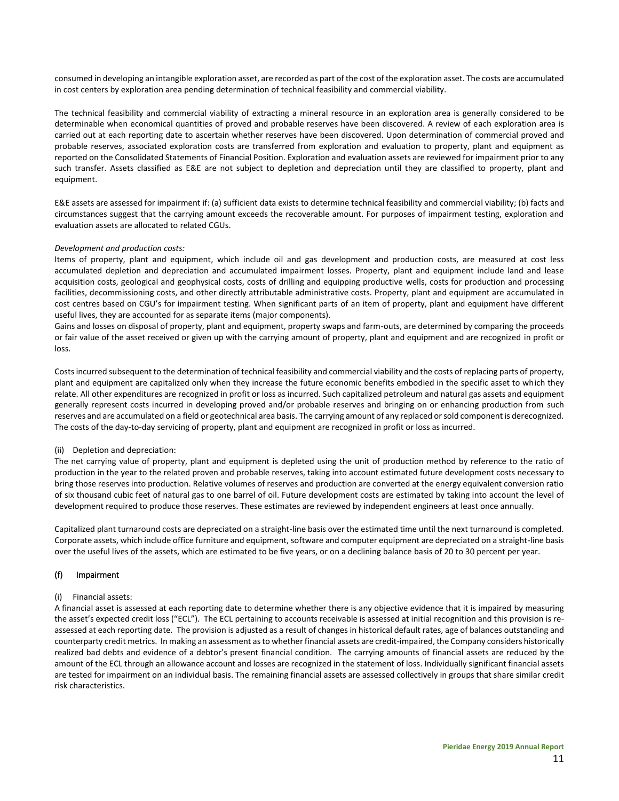consumed in developing an intangible exploration asset, are recorded as part of the cost of the exploration asset. The costs are accumulated in cost centers by exploration area pending determination of technical feasibility and commercial viability.

The technical feasibility and commercial viability of extracting a mineral resource in an exploration area is generally considered to be determinable when economical quantities of proved and probable reserves have been discovered. A review of each exploration area is carried out at each reporting date to ascertain whether reserves have been discovered. Upon determination of commercial proved and probable reserves, associated exploration costs are transferred from exploration and evaluation to property, plant and equipment as reported on the Consolidated Statements of Financial Position. Exploration and evaluation assets are reviewed for impairment prior to any such transfer. Assets classified as E&E are not subject to depletion and depreciation until they are classified to property, plant and equipment.

E&E assets are assessed for impairment if: (a) sufficient data exists to determine technical feasibility and commercial viability; (b) facts and circumstances suggest that the carrying amount exceeds the recoverable amount. For purposes of impairment testing, exploration and evaluation assets are allocated to related CGUs.

#### *Development and production costs:*

Items of property, plant and equipment, which include oil and gas development and production costs, are measured at cost less accumulated depletion and depreciation and accumulated impairment losses. Property, plant and equipment include land and lease acquisition costs, geological and geophysical costs, costs of drilling and equipping productive wells, costs for production and processing facilities, decommissioning costs, and other directly attributable administrative costs. Property, plant and equipment are accumulated in cost centres based on CGU's for impairment testing. When significant parts of an item of property, plant and equipment have different useful lives, they are accounted for as separate items (major components).

Gains and losses on disposal of property, plant and equipment, property swaps and farm-outs, are determined by comparing the proceeds or fair value of the asset received or given up with the carrying amount of property, plant and equipment and are recognized in profit or loss.

Costs incurred subsequent to the determination of technical feasibility and commercial viability and the costs of replacing parts of property, plant and equipment are capitalized only when they increase the future economic benefits embodied in the specific asset to which they relate. All other expenditures are recognized in profit or loss as incurred. Such capitalized petroleum and natural gas assets and equipment generally represent costs incurred in developing proved and/or probable reserves and bringing on or enhancing production from such reserves and are accumulated on a field or geotechnical area basis. The carrying amount of any replaced or sold component is derecognized. The costs of the day-to-day servicing of property, plant and equipment are recognized in profit or loss as incurred.

#### (ii) Depletion and depreciation:

The net carrying value of property, plant and equipment is depleted using the unit of production method by reference to the ratio of production in the year to the related proven and probable reserves, taking into account estimated future development costs necessary to bring those reserves into production. Relative volumes of reserves and production are converted at the energy equivalent conversion ratio of six thousand cubic feet of natural gas to one barrel of oil. Future development costs are estimated by taking into account the level of development required to produce those reserves. These estimates are reviewed by independent engineers at least once annually.

Capitalized plant turnaround costs are depreciated on a straight-line basis over the estimated time until the next turnaround is completed. Corporate assets, which include office furniture and equipment, software and computer equipment are depreciated on a straight-line basis over the useful lives of the assets, which are estimated to be five years, or on a declining balance basis of 20 to 30 percent per year.

### (f) Impairment

#### (i) Financial assets:

A financial asset is assessed at each reporting date to determine whether there is any objective evidence that it is impaired by measuring the asset's expected credit loss ("ECL"). The ECL pertaining to accounts receivable is assessed at initial recognition and this provision is reassessed at each reporting date. The provision is adjusted as a result of changes in historical default rates, age of balances outstanding and counterparty credit metrics. In making an assessment as to whether financial assets are credit-impaired, the Company considers historically realized bad debts and evidence of a debtor's present financial condition. The carrying amounts of financial assets are reduced by the amount of the ECL through an allowance account and losses are recognized in the statement of loss. Individually significant financial assets are tested for impairment on an individual basis. The remaining financial assets are assessed collectively in groups that share similar credit risk characteristics.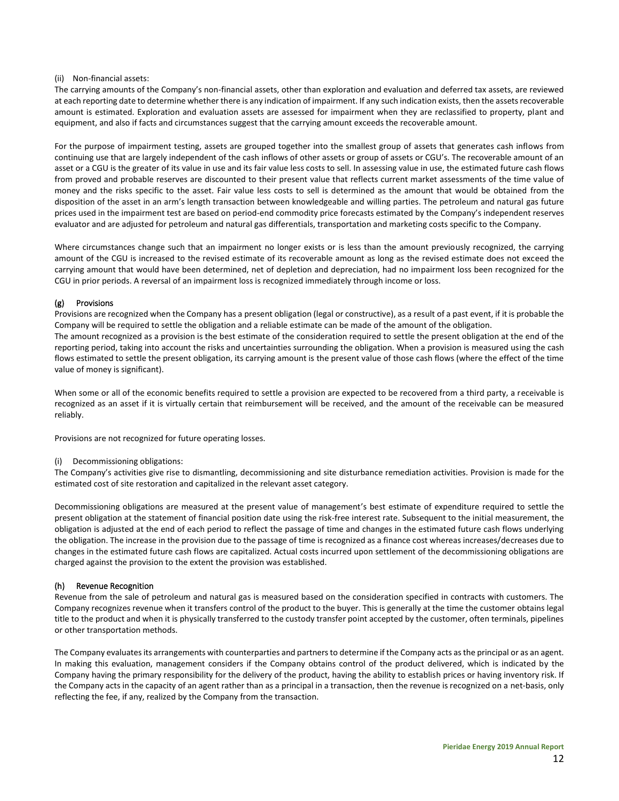#### (ii) Non-financial assets:

The carrying amounts of the Company's non-financial assets, other than exploration and evaluation and deferred tax assets, are reviewed at each reporting date to determine whether there is any indication of impairment. If any such indication exists, then the assets recoverable amount is estimated. Exploration and evaluation assets are assessed for impairment when they are reclassified to property, plant and equipment, and also if facts and circumstances suggest that the carrying amount exceeds the recoverable amount.

For the purpose of impairment testing, assets are grouped together into the smallest group of assets that generates cash inflows from continuing use that are largely independent of the cash inflows of other assets or group of assets or CGU's. The recoverable amount of an asset or a CGU is the greater of its value in use and its fair value less costs to sell. In assessing value in use, the estimated future cash flows from proved and probable reserves are discounted to their present value that reflects current market assessments of the time value of money and the risks specific to the asset. Fair value less costs to sell is determined as the amount that would be obtained from the disposition of the asset in an arm's length transaction between knowledgeable and willing parties. The petroleum and natural gas future prices used in the impairment test are based on period-end commodity price forecasts estimated by the Company's independent reserves evaluator and are adjusted for petroleum and natural gas differentials, transportation and marketing costs specific to the Company.

Where circumstances change such that an impairment no longer exists or is less than the amount previously recognized, the carrying amount of the CGU is increased to the revised estimate of its recoverable amount as long as the revised estimate does not exceed the carrying amount that would have been determined, net of depletion and depreciation, had no impairment loss been recognized for the CGU in prior periods. A reversal of an impairment loss is recognized immediately through income or loss.

### (g) Provisions

Provisions are recognized when the Company has a present obligation (legal or constructive), as a result of a past event, if it is probable the Company will be required to settle the obligation and a reliable estimate can be made of the amount of the obligation. The amount recognized as a provision is the best estimate of the consideration required to settle the present obligation at the end of the reporting period, taking into account the risks and uncertainties surrounding the obligation. When a provision is measured using the cash flows estimated to settle the present obligation, its carrying amount is the present value of those cash flows (where the effect of the time value of money is significant).

When some or all of the economic benefits required to settle a provision are expected to be recovered from a third party, a receivable is recognized as an asset if it is virtually certain that reimbursement will be received, and the amount of the receivable can be measured reliably.

Provisions are not recognized for future operating losses.

### (i) Decommissioning obligations:

The Company's activities give rise to dismantling, decommissioning and site disturbance remediation activities. Provision is made for the estimated cost of site restoration and capitalized in the relevant asset category.

Decommissioning obligations are measured at the present value of management's best estimate of expenditure required to settle the present obligation at the statement of financial position date using the risk-free interest rate. Subsequent to the initial measurement, the obligation is adjusted at the end of each period to reflect the passage of time and changes in the estimated future cash flows underlying the obligation. The increase in the provision due to the passage of time is recognized as a finance cost whereas increases/decreases due to changes in the estimated future cash flows are capitalized. Actual costs incurred upon settlement of the decommissioning obligations are charged against the provision to the extent the provision was established.

### (h) Revenue Recognition

Revenue from the sale of petroleum and natural gas is measured based on the consideration specified in contracts with customers. The Company recognizes revenue when it transfers control of the product to the buyer. This is generally at the time the customer obtains legal title to the product and when it is physically transferred to the custody transfer point accepted by the customer, often terminals, pipelines or other transportation methods.

The Company evaluates its arrangements with counterparties and partners to determine if the Company acts as the principal or as an agent. In making this evaluation, management considers if the Company obtains control of the product delivered, which is indicated by the Company having the primary responsibility for the delivery of the product, having the ability to establish prices or having inventory risk. If the Company acts in the capacity of an agent rather than as a principal in a transaction, then the revenue is recognized on a net-basis, only reflecting the fee, if any, realized by the Company from the transaction.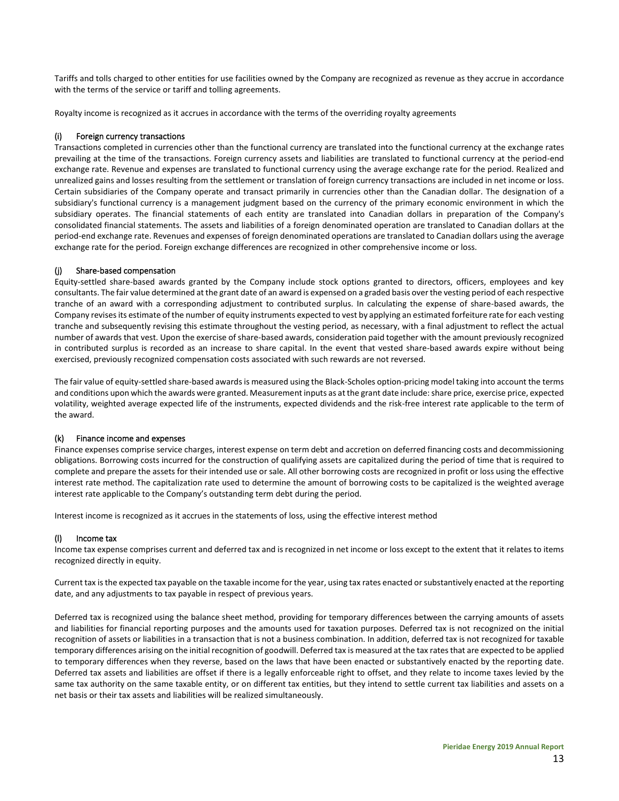Tariffs and tolls charged to other entities for use facilities owned by the Company are recognized as revenue as they accrue in accordance with the terms of the service or tariff and tolling agreements.

Royalty income is recognized as it accrues in accordance with the terms of the overriding royalty agreements

#### (i) Foreign currency transactions

Transactions completed in currencies other than the functional currency are translated into the functional currency at the exchange rates prevailing at the time of the transactions. Foreign currency assets and liabilities are translated to functional currency at the period-end exchange rate. Revenue and expenses are translated to functional currency using the average exchange rate for the period. Realized and unrealized gains and losses resulting from the settlement or translation of foreign currency transactions are included in net income or loss. Certain subsidiaries of the Company operate and transact primarily in currencies other than the Canadian dollar. The designation of a subsidiary's functional currency is a management judgment based on the currency of the primary economic environment in which the subsidiary operates. The financial statements of each entity are translated into Canadian dollars in preparation of the Company's consolidated financial statements. The assets and liabilities of a foreign denominated operation are translated to Canadian dollars at the period-end exchange rate. Revenues and expenses of foreign denominated operations are translated to Canadian dollars using the average exchange rate for the period. Foreign exchange differences are recognized in other comprehensive income or loss.

#### (j) Share-based compensation

Equity-settled share-based awards granted by the Company include stock options granted to directors, officers, employees and key consultants. The fair value determined at the grant date of an award is expensed on a graded basis over the vesting period of each respective tranche of an award with a corresponding adjustment to contributed surplus. In calculating the expense of share-based awards, the Company revises its estimate of the number of equity instruments expected to vest by applying an estimated forfeiture rate for each vesting tranche and subsequently revising this estimate throughout the vesting period, as necessary, with a final adjustment to reflect the actual number of awards that vest. Upon the exercise of share-based awards, consideration paid together with the amount previously recognized in contributed surplus is recorded as an increase to share capital. In the event that vested share-based awards expire without being exercised, previously recognized compensation costs associated with such rewards are not reversed.

The fair value of equity-settled share-based awards is measured using the Black-Scholes option-pricing model taking into account the terms and conditions upon which the awards were granted. Measurement inputs as at the grant date include: share price, exercise price, expected volatility, weighted average expected life of the instruments, expected dividends and the risk-free interest rate applicable to the term of the award.

#### (k) Finance income and expenses

Finance expenses comprise service charges, interest expense on term debt and accretion on deferred financing costs and decommissioning obligations. Borrowing costs incurred for the construction of qualifying assets are capitalized during the period of time that is required to complete and prepare the assets for their intended use or sale. All other borrowing costs are recognized in profit or loss using the effective interest rate method. The capitalization rate used to determine the amount of borrowing costs to be capitalized is the weighted average interest rate applicable to the Company's outstanding term debt during the period.

Interest income is recognized as it accrues in the statements of loss, using the effective interest method

#### (l) Income tax

Income tax expense comprises current and deferred tax and is recognized in net income or loss except to the extent that it relates to items recognized directly in equity.

Current tax is the expected tax payable on the taxable income for the year, using tax rates enacted or substantively enacted at the reporting date, and any adjustments to tax payable in respect of previous years.

Deferred tax is recognized using the balance sheet method, providing for temporary differences between the carrying amounts of assets and liabilities for financial reporting purposes and the amounts used for taxation purposes. Deferred tax is not recognized on the initial recognition of assets or liabilities in a transaction that is not a business combination. In addition, deferred tax is not recognized for taxable temporary differences arising on the initial recognition of goodwill. Deferred tax is measured at the tax rates that are expected to be applied to temporary differences when they reverse, based on the laws that have been enacted or substantively enacted by the reporting date. Deferred tax assets and liabilities are offset if there is a legally enforceable right to offset, and they relate to income taxes levied by the same tax authority on the same taxable entity, or on different tax entities, but they intend to settle current tax liabilities and assets on a net basis or their tax assets and liabilities will be realized simultaneously.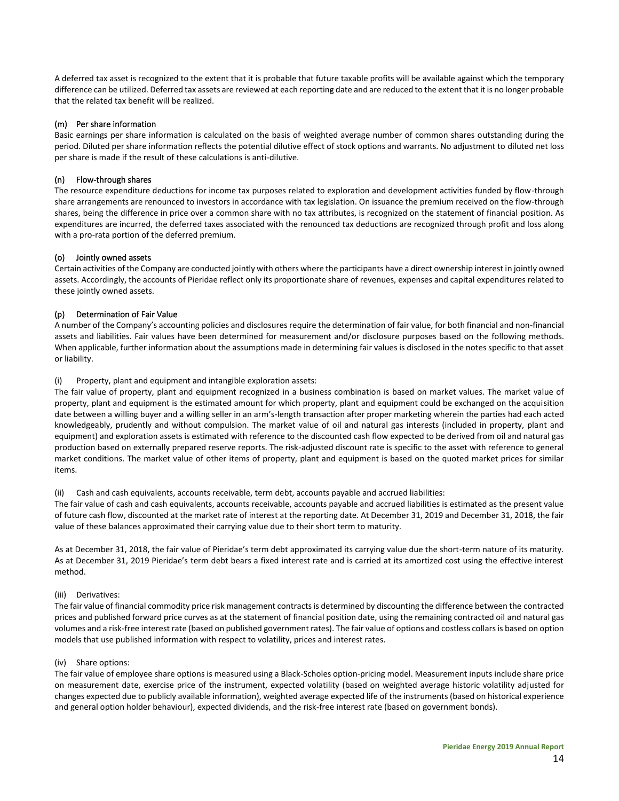A deferred tax asset is recognized to the extent that it is probable that future taxable profits will be available against which the temporary difference can be utilized. Deferred tax assets are reviewed at each reporting date and are reduced to the extent that it is no longer probable that the related tax benefit will be realized.

### (m) Per share information

Basic earnings per share information is calculated on the basis of weighted average number of common shares outstanding during the period. Diluted per share information reflects the potential dilutive effect of stock options and warrants. No adjustment to diluted net loss per share is made if the result of these calculations is anti-dilutive.

#### (n) Flow-through shares

The resource expenditure deductions for income tax purposes related to exploration and development activities funded by flow-through share arrangements are renounced to investors in accordance with tax legislation. On issuance the premium received on the flow-through shares, being the difference in price over a common share with no tax attributes, is recognized on the statement of financial position. As expenditures are incurred, the deferred taxes associated with the renounced tax deductions are recognized through profit and loss along with a pro-rata portion of the deferred premium.

#### (o) Jointly owned assets

Certain activities of the Company are conducted jointly with others where the participants have a direct ownership interest in jointly owned assets. Accordingly, the accounts of Pieridae reflect only its proportionate share of revenues, expenses and capital expenditures related to these jointly owned assets.

### (p) Determination of Fair Value

A number of the Company's accounting policies and disclosures require the determination of fair value, for both financial and non-financial assets and liabilities. Fair values have been determined for measurement and/or disclosure purposes based on the following methods. When applicable, further information about the assumptions made in determining fair values is disclosed in the notes specific to that asset or liability.

#### (i) Property, plant and equipment and intangible exploration assets:

The fair value of property, plant and equipment recognized in a business combination is based on market values. The market value of property, plant and equipment is the estimated amount for which property, plant and equipment could be exchanged on the acquisition date between a willing buyer and a willing seller in an arm's-length transaction after proper marketing wherein the parties had each acted knowledgeably, prudently and without compulsion. The market value of oil and natural gas interests (included in property, plant and equipment) and exploration assets is estimated with reference to the discounted cash flow expected to be derived from oil and natural gas production based on externally prepared reserve reports. The risk-adjusted discount rate is specific to the asset with reference to general market conditions. The market value of other items of property, plant and equipment is based on the quoted market prices for similar items.

#### (ii) Cash and cash equivalents, accounts receivable, term debt, accounts payable and accrued liabilities:

The fair value of cash and cash equivalents, accounts receivable, accounts payable and accrued liabilities is estimated as the present value of future cash flow, discounted at the market rate of interest at the reporting date. At December 31, 2019 and December 31, 2018, the fair value of these balances approximated their carrying value due to their short term to maturity.

As at December 31, 2018, the fair value of Pieridae's term debt approximated its carrying value due the short-term nature of its maturity. As at December 31, 2019 Pieridae's term debt bears a fixed interest rate and is carried at its amortized cost using the effective interest method.

#### (iii) Derivatives:

The fair value of financial commodity price risk management contracts is determined by discounting the difference between the contracted prices and published forward price curves as at the statement of financial position date, using the remaining contracted oil and natural gas volumes and a risk-free interest rate (based on published government rates). The fair value of options and costless collars is based on option models that use published information with respect to volatility, prices and interest rates.

#### (iv) Share options:

The fair value of employee share options is measured using a Black-Scholes option-pricing model. Measurement inputs include share price on measurement date, exercise price of the instrument, expected volatility (based on weighted average historic volatility adjusted for changes expected due to publicly available information), weighted average expected life of the instruments (based on historical experience and general option holder behaviour), expected dividends, and the risk-free interest rate (based on government bonds).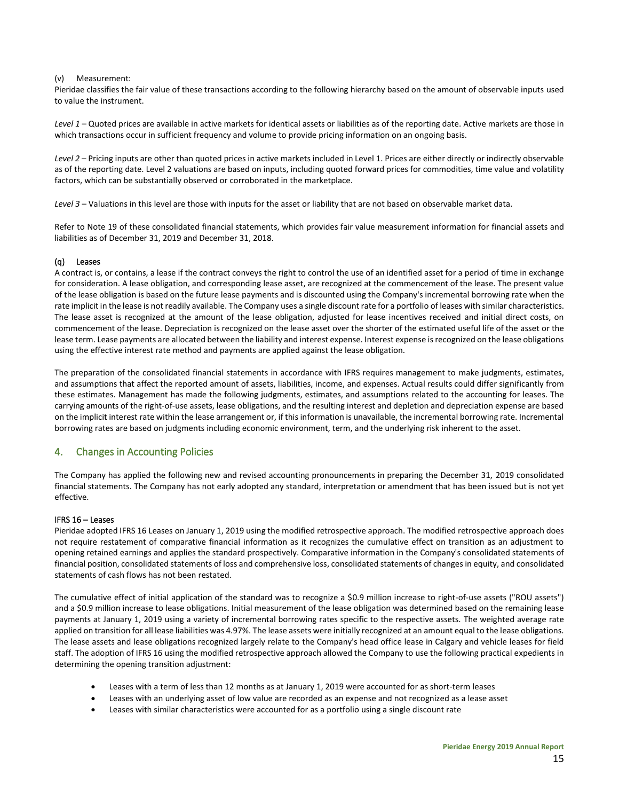#### (v) Measurement:

Pieridae classifies the fair value of these transactions according to the following hierarchy based on the amount of observable inputs used to value the instrument.

*Level 1* – Quoted prices are available in active markets for identical assets or liabilities as of the reporting date. Active markets are those in which transactions occur in sufficient frequency and volume to provide pricing information on an ongoing basis.

*Level 2* – Pricing inputs are other than quoted prices in active markets included in Level 1. Prices are either directly or indirectly observable as of the reporting date. Level 2 valuations are based on inputs, including quoted forward prices for commodities, time value and volatility factors, which can be substantially observed or corroborated in the marketplace.

*Level 3* – Valuations in this level are those with inputs for the asset or liability that are not based on observable market data.

Refer to Note 19 of these consolidated financial statements, which provides fair value measurement information for financial assets and liabilities as of December 31, 2019 and December 31, 2018.

#### (q) Leases

A contract is, or contains, a lease if the contract conveys the right to control the use of an identified asset for a period of time in exchange for consideration. A lease obligation, and corresponding lease asset, are recognized at the commencement of the lease. The present value of the lease obligation is based on the future lease payments and is discounted using the Company's incremental borrowing rate when the rate implicit in the lease is not readily available. The Company uses a single discount rate for a portfolio of leases with similar characteristics. The lease asset is recognized at the amount of the lease obligation, adjusted for lease incentives received and initial direct costs, on commencement of the lease. Depreciation is recognized on the lease asset over the shorter of the estimated useful life of the asset or the lease term. Lease payments are allocated between the liability and interest expense. Interest expense is recognized on the lease obligations using the effective interest rate method and payments are applied against the lease obligation.

The preparation of the consolidated financial statements in accordance with IFRS requires management to make judgments, estimates, and assumptions that affect the reported amount of assets, liabilities, income, and expenses. Actual results could differ significantly from these estimates. Management has made the following judgments, estimates, and assumptions related to the accounting for leases. The carrying amounts of the right-of-use assets, lease obligations, and the resulting interest and depletion and depreciation expense are based on the implicit interest rate within the lease arrangement or, if this information is unavailable, the incremental borrowing rate. Incremental borrowing rates are based on judgments including economic environment, term, and the underlying risk inherent to the asset.

# 4. Changes in Accounting Policies

The Company has applied the following new and revised accounting pronouncements in preparing the December 31, 2019 consolidated financial statements. The Company has not early adopted any standard, interpretation or amendment that has been issued but is not yet effective.

### IFRS 16 – Leases

Pieridae adopted IFRS 16 Leases on January 1, 2019 using the modified retrospective approach. The modified retrospective approach does not require restatement of comparative financial information as it recognizes the cumulative effect on transition as an adjustment to opening retained earnings and applies the standard prospectively. Comparative information in the Company's consolidated statements of financial position, consolidated statements of loss and comprehensive loss, consolidated statements of changes in equity, and consolidated statements of cash flows has not been restated.

The cumulative effect of initial application of the standard was to recognize a \$0.9 million increase to right-of-use assets ("ROU assets") and a \$0.9 million increase to lease obligations. Initial measurement of the lease obligation was determined based on the remaining lease payments at January 1, 2019 using a variety of incremental borrowing rates specific to the respective assets. The weighted average rate applied on transition for all lease liabilities was 4.97%. The lease assets were initially recognized at an amount equal to the lease obligations. The lease assets and lease obligations recognized largely relate to the Company's head office lease in Calgary and vehicle leases for field staff. The adoption of IFRS 16 using the modified retrospective approach allowed the Company to use the following practical expedients in determining the opening transition adjustment:

- Leases with a term of less than 12 months as at January 1, 2019 were accounted for as short-term leases
- Leases with an underlying asset of low value are recorded as an expense and not recognized as a lease asset
- Leases with similar characteristics were accounted for as a portfolio using a single discount rate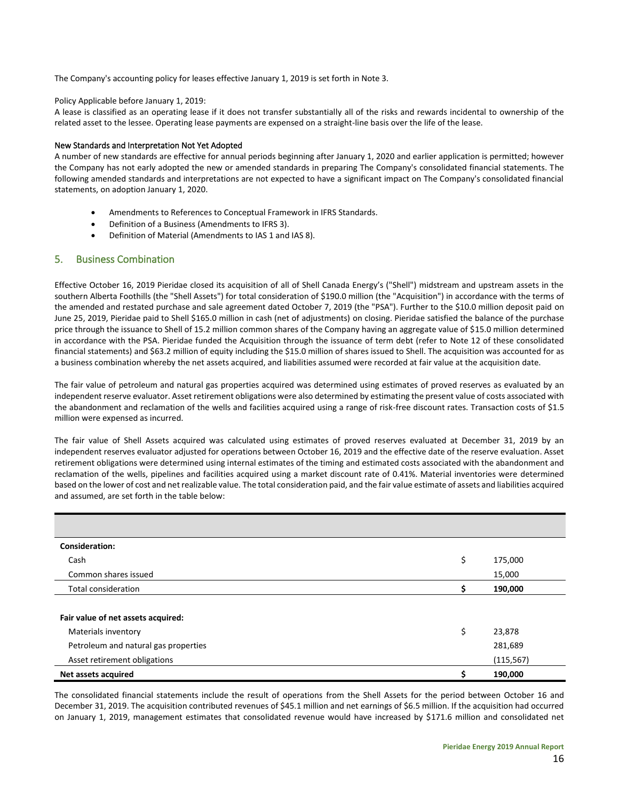The Company's accounting policy for leases effective January 1, 2019 is set forth in Note 3.

#### Policy Applicable before January 1, 2019:

A lease is classified as an operating lease if it does not transfer substantially all of the risks and rewards incidental to ownership of the related asset to the lessee. Operating lease payments are expensed on a straight-line basis over the life of the lease.

#### New Standards and Interpretation Not Yet Adopted

A number of new standards are effective for annual periods beginning after January 1, 2020 and earlier application is permitted; however the Company has not early adopted the new or amended standards in preparing The Company's consolidated financial statements. The following amended standards and interpretations are not expected to have a significant impact on The Company's consolidated financial statements, on adoption January 1, 2020.

- Amendments to References to Conceptual Framework in IFRS Standards.
- Definition of a Business (Amendments to IFRS 3).
- Definition of Material (Amendments to IAS 1 and IAS 8).

### 5. Business Combination

Effective October 16, 2019 Pieridae closed its acquisition of all of Shell Canada Energy's ("Shell") midstream and upstream assets in the southern Alberta Foothills (the "Shell Assets") for total consideration of \$190.0 million (the "Acquisition") in accordance with the terms of the amended and restated purchase and sale agreement dated October 7, 2019 (the "PSA"). Further to the \$10.0 million deposit paid on June 25, 2019, Pieridae paid to Shell \$165.0 million in cash (net of adjustments) on closing. Pieridae satisfied the balance of the purchase price through the issuance to Shell of 15.2 million common shares of the Company having an aggregate value of \$15.0 million determined in accordance with the PSA. Pieridae funded the Acquisition through the issuance of term debt (refer to Note 12 of these consolidated financial statements) and \$63.2 million of equity including the \$15.0 million of shares issued to Shell. The acquisition was accounted for as a business combination whereby the net assets acquired, and liabilities assumed were recorded at fair value at the acquisition date.

The fair value of petroleum and natural gas properties acquired was determined using estimates of proved reserves as evaluated by an independent reserve evaluator. Asset retirement obligations were also determined by estimating the present value of costs associated with the abandonment and reclamation of the wells and facilities acquired using a range of risk-free discount rates. Transaction costs of \$1.5 million were expensed as incurred.

The fair value of Shell Assets acquired was calculated using estimates of proved reserves evaluated at December 31, 2019 by an independent reserves evaluator adjusted for operations between October 16, 2019 and the effective date of the reserve evaluation. Asset retirement obligations were determined using internal estimates of the timing and estimated costs associated with the abandonment and reclamation of the wells, pipelines and facilities acquired using a market discount rate of 0.41%. Material inventories were determined based on the lower of cost and net realizable value. The total consideration paid, and the fair value estimate of assets and liabilities acquired and assumed, are set forth in the table below:

| <b>Consideration:</b>                |    |            |
|--------------------------------------|----|------------|
| Cash                                 | \$ | 175,000    |
| Common shares issued                 |    | 15,000     |
| <b>Total consideration</b>           | Ŝ. | 190,000    |
|                                      |    |            |
| Fair value of net assets acquired:   |    |            |
| Materials inventory                  | \$ | 23,878     |
| Petroleum and natural gas properties |    | 281,689    |
| Asset retirement obligations         |    | (115, 567) |
| Net assets acquired                  |    | 190,000    |

The consolidated financial statements include the result of operations from the Shell Assets for the period between October 16 and December 31, 2019. The acquisition contributed revenues of \$45.1 million and net earnings of \$6.5 million. If the acquisition had occurred on January 1, 2019, management estimates that consolidated revenue would have increased by \$171.6 million and consolidated net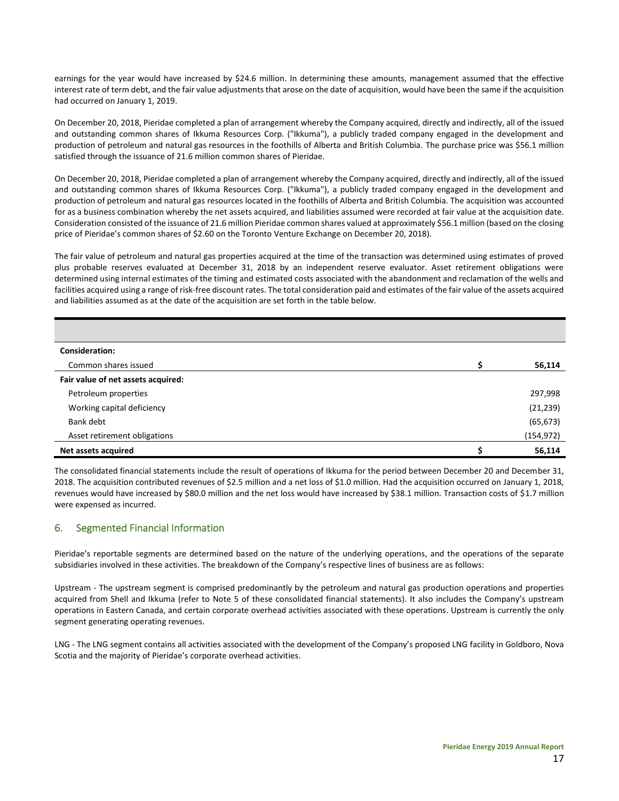earnings for the year would have increased by \$24.6 million. In determining these amounts, management assumed that the effective interest rate of term debt, and the fair value adjustments that arose on the date of acquisition, would have been the same if the acquisition had occurred on January 1, 2019.

On December 20, 2018, Pieridae completed a plan of arrangement whereby the Company acquired, directly and indirectly, all of the issued and outstanding common shares of Ikkuma Resources Corp. ("Ikkuma"), a publicly traded company engaged in the development and production of petroleum and natural gas resources in the foothills of Alberta and British Columbia. The purchase price was \$56.1 million satisfied through the issuance of 21.6 million common shares of Pieridae.

On December 20, 2018, Pieridae completed a plan of arrangement whereby the Company acquired, directly and indirectly, all of the issued and outstanding common shares of Ikkuma Resources Corp. ("Ikkuma"), a publicly traded company engaged in the development and production of petroleum and natural gas resources located in the foothills of Alberta and British Columbia. The acquisition was accounted for as a business combination whereby the net assets acquired, and liabilities assumed were recorded at fair value at the acquisition date. Consideration consisted of the issuance of 21.6 million Pieridae common shares valued at approximately \$56.1 million (based on the closing price of Pieridae's common shares of \$2.60 on the Toronto Venture Exchange on December 20, 2018).

The fair value of petroleum and natural gas properties acquired at the time of the transaction was determined using estimates of proved plus probable reserves evaluated at December 31, 2018 by an independent reserve evaluator. Asset retirement obligations were determined using internal estimates of the timing and estimated costs associated with the abandonment and reclamation of the wells and facilities acquired using a range of risk-free discount rates. The total consideration paid and estimates of the fair value of the assets acquired and liabilities assumed as at the date of the acquisition are set forth in the table below.

| <b>Consideration:</b>              |            |
|------------------------------------|------------|
| Common shares issued               | 56,114     |
| Fair value of net assets acquired: |            |
| Petroleum properties               | 297,998    |
| Working capital deficiency         | (21, 239)  |
| Bank debt                          | (65, 673)  |
| Asset retirement obligations       | (154, 972) |
| Net assets acquired                | 56,114     |

The consolidated financial statements include the result of operations of Ikkuma for the period between December 20 and December 31, 2018. The acquisition contributed revenues of \$2.5 million and a net loss of \$1.0 million. Had the acquisition occurred on January 1, 2018, revenues would have increased by \$80.0 million and the net loss would have increased by \$38.1 million. Transaction costs of \$1.7 million were expensed as incurred.

# 6. Segmented Financial Information

Pieridae's reportable segments are determined based on the nature of the underlying operations, and the operations of the separate subsidiaries involved in these activities. The breakdown of the Company's respective lines of business are as follows:

Upstream - The upstream segment is comprised predominantly by the petroleum and natural gas production operations and properties acquired from Shell and Ikkuma (refer to Note 5 of these consolidated financial statements). It also includes the Company's upstream operations in Eastern Canada, and certain corporate overhead activities associated with these operations. Upstream is currently the only segment generating operating revenues.

LNG - The LNG segment contains all activities associated with the development of the Company's proposed LNG facility in Goldboro, Nova Scotia and the majority of Pieridae's corporate overhead activities.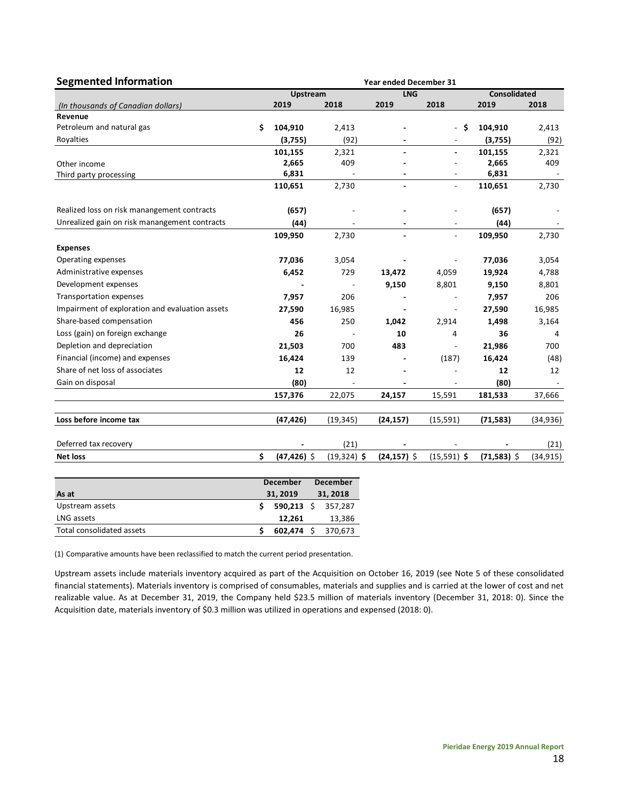| <b>Consolidated</b><br><b>Upstream</b><br><b>LNG</b><br>2019<br>2018<br>2019<br>2018<br>2019<br>2018<br>(In thousands of Canadian dollars)<br>Revenue<br>Petroleum and natural gas<br>\$<br>104,910<br>2,413<br>\$<br>104,910<br>2,413<br>Royalties<br>(3,755)<br>(92)<br>(3,755)<br>(92)<br>101,155<br>2,321<br>101,155<br>2,321<br>٠<br>$\overline{\phantom{a}}$<br>2,665<br>409<br>2,665<br>409<br>Other income<br>6,831<br>6,831<br>Third party processing<br>2,730<br>110,651<br>110,651<br>2,730<br>$\blacksquare$<br>Realized loss on risk manangement contracts<br>(657)<br>(657)<br>Unrealized gain on risk manangement contracts<br>(44)<br>(44)<br>109,950<br>109,950<br>2,730<br>2,730<br>$\overline{\phantom{a}}$<br><b>Expenses</b><br>77,036<br>Operating expenses<br>77,036<br>3,054<br>3,054<br>6,452<br>Administrative expenses<br>729<br>13,472<br>4,059<br>19,924<br>4,788<br>Development expenses<br>9,150<br>8,801<br>9,150<br>8,801<br>Transportation expenses<br>7,957<br>206<br>7,957<br>206<br>Impairment of exploration and evaluation assets<br>27,590<br>16,985<br>27,590<br>16,985<br>Share-based compensation<br>456<br>250<br>2,914<br>1,498<br>1,042<br>3,164 | <b>Segmented Information</b>    | Year ended December 31 |    |  |    |   |    |   |
|------------------------------------------------------------------------------------------------------------------------------------------------------------------------------------------------------------------------------------------------------------------------------------------------------------------------------------------------------------------------------------------------------------------------------------------------------------------------------------------------------------------------------------------------------------------------------------------------------------------------------------------------------------------------------------------------------------------------------------------------------------------------------------------------------------------------------------------------------------------------------------------------------------------------------------------------------------------------------------------------------------------------------------------------------------------------------------------------------------------------------------------------------------------------------------------------|---------------------------------|------------------------|----|--|----|---|----|---|
|                                                                                                                                                                                                                                                                                                                                                                                                                                                                                                                                                                                                                                                                                                                                                                                                                                                                                                                                                                                                                                                                                                                                                                                                |                                 |                        |    |  |    |   |    |   |
|                                                                                                                                                                                                                                                                                                                                                                                                                                                                                                                                                                                                                                                                                                                                                                                                                                                                                                                                                                                                                                                                                                                                                                                                |                                 |                        |    |  |    |   |    |   |
|                                                                                                                                                                                                                                                                                                                                                                                                                                                                                                                                                                                                                                                                                                                                                                                                                                                                                                                                                                                                                                                                                                                                                                                                |                                 |                        |    |  |    |   |    |   |
|                                                                                                                                                                                                                                                                                                                                                                                                                                                                                                                                                                                                                                                                                                                                                                                                                                                                                                                                                                                                                                                                                                                                                                                                |                                 |                        |    |  |    |   |    |   |
|                                                                                                                                                                                                                                                                                                                                                                                                                                                                                                                                                                                                                                                                                                                                                                                                                                                                                                                                                                                                                                                                                                                                                                                                |                                 |                        |    |  |    |   |    |   |
|                                                                                                                                                                                                                                                                                                                                                                                                                                                                                                                                                                                                                                                                                                                                                                                                                                                                                                                                                                                                                                                                                                                                                                                                |                                 |                        |    |  |    |   |    |   |
|                                                                                                                                                                                                                                                                                                                                                                                                                                                                                                                                                                                                                                                                                                                                                                                                                                                                                                                                                                                                                                                                                                                                                                                                |                                 |                        |    |  |    |   |    |   |
|                                                                                                                                                                                                                                                                                                                                                                                                                                                                                                                                                                                                                                                                                                                                                                                                                                                                                                                                                                                                                                                                                                                                                                                                |                                 |                        |    |  |    |   |    |   |
|                                                                                                                                                                                                                                                                                                                                                                                                                                                                                                                                                                                                                                                                                                                                                                                                                                                                                                                                                                                                                                                                                                                                                                                                |                                 |                        |    |  |    |   |    |   |
|                                                                                                                                                                                                                                                                                                                                                                                                                                                                                                                                                                                                                                                                                                                                                                                                                                                                                                                                                                                                                                                                                                                                                                                                |                                 |                        |    |  |    |   |    |   |
|                                                                                                                                                                                                                                                                                                                                                                                                                                                                                                                                                                                                                                                                                                                                                                                                                                                                                                                                                                                                                                                                                                                                                                                                |                                 |                        |    |  |    |   |    |   |
|                                                                                                                                                                                                                                                                                                                                                                                                                                                                                                                                                                                                                                                                                                                                                                                                                                                                                                                                                                                                                                                                                                                                                                                                |                                 |                        |    |  |    |   |    |   |
|                                                                                                                                                                                                                                                                                                                                                                                                                                                                                                                                                                                                                                                                                                                                                                                                                                                                                                                                                                                                                                                                                                                                                                                                |                                 |                        |    |  |    |   |    |   |
|                                                                                                                                                                                                                                                                                                                                                                                                                                                                                                                                                                                                                                                                                                                                                                                                                                                                                                                                                                                                                                                                                                                                                                                                |                                 |                        |    |  |    |   |    |   |
|                                                                                                                                                                                                                                                                                                                                                                                                                                                                                                                                                                                                                                                                                                                                                                                                                                                                                                                                                                                                                                                                                                                                                                                                |                                 |                        |    |  |    |   |    |   |
|                                                                                                                                                                                                                                                                                                                                                                                                                                                                                                                                                                                                                                                                                                                                                                                                                                                                                                                                                                                                                                                                                                                                                                                                |                                 |                        |    |  |    |   |    |   |
|                                                                                                                                                                                                                                                                                                                                                                                                                                                                                                                                                                                                                                                                                                                                                                                                                                                                                                                                                                                                                                                                                                                                                                                                |                                 |                        |    |  |    |   |    |   |
|                                                                                                                                                                                                                                                                                                                                                                                                                                                                                                                                                                                                                                                                                                                                                                                                                                                                                                                                                                                                                                                                                                                                                                                                |                                 |                        |    |  |    |   |    |   |
|                                                                                                                                                                                                                                                                                                                                                                                                                                                                                                                                                                                                                                                                                                                                                                                                                                                                                                                                                                                                                                                                                                                                                                                                |                                 |                        |    |  |    |   |    |   |
|                                                                                                                                                                                                                                                                                                                                                                                                                                                                                                                                                                                                                                                                                                                                                                                                                                                                                                                                                                                                                                                                                                                                                                                                | Loss (gain) on foreign exchange |                        | 26 |  | 10 | 4 | 36 | 4 |
| Depletion and depreciation<br>21,503<br>483<br>21,986<br>700<br>700<br>$\overline{\phantom{a}}$                                                                                                                                                                                                                                                                                                                                                                                                                                                                                                                                                                                                                                                                                                                                                                                                                                                                                                                                                                                                                                                                                                |                                 |                        |    |  |    |   |    |   |
| Financial (income) and expenses<br>16,424<br>139<br>16,424<br>(187)<br>(48)                                                                                                                                                                                                                                                                                                                                                                                                                                                                                                                                                                                                                                                                                                                                                                                                                                                                                                                                                                                                                                                                                                                    |                                 |                        |    |  |    |   |    |   |
| Share of net loss of associates<br>12<br>12<br>12<br>12<br>$\overline{\phantom{a}}$                                                                                                                                                                                                                                                                                                                                                                                                                                                                                                                                                                                                                                                                                                                                                                                                                                                                                                                                                                                                                                                                                                            |                                 |                        |    |  |    |   |    |   |
| Gain on disposal<br>(80)<br>(80)<br>-<br>$\overline{\phantom{a}}$                                                                                                                                                                                                                                                                                                                                                                                                                                                                                                                                                                                                                                                                                                                                                                                                                                                                                                                                                                                                                                                                                                                              |                                 |                        |    |  |    |   |    |   |
| 157,376<br>22,075<br>24,157<br>15,591<br>181,533<br>37,666                                                                                                                                                                                                                                                                                                                                                                                                                                                                                                                                                                                                                                                                                                                                                                                                                                                                                                                                                                                                                                                                                                                                     |                                 |                        |    |  |    |   |    |   |
| Loss before income tax<br>(47, 426)<br>(19, 345)<br>(24, 157)<br>(15, 591)<br>(71, 583)<br>(34, 936)                                                                                                                                                                                                                                                                                                                                                                                                                                                                                                                                                                                                                                                                                                                                                                                                                                                                                                                                                                                                                                                                                           |                                 |                        |    |  |    |   |    |   |
|                                                                                                                                                                                                                                                                                                                                                                                                                                                                                                                                                                                                                                                                                                                                                                                                                                                                                                                                                                                                                                                                                                                                                                                                |                                 |                        |    |  |    |   |    |   |
| Deferred tax recovery<br>(21)<br>(21)                                                                                                                                                                                                                                                                                                                                                                                                                                                                                                                                                                                                                                                                                                                                                                                                                                                                                                                                                                                                                                                                                                                                                          |                                 |                        |    |  |    |   |    |   |
| \$<br>$(47, 426)$ \$<br>$(19, 324)$ \$<br>$(24, 157)$ \$<br>$(15,591)$ \$<br>$(71,583)$ \$<br>(34, 915)<br><b>Net loss</b>                                                                                                                                                                                                                                                                                                                                                                                                                                                                                                                                                                                                                                                                                                                                                                                                                                                                                                                                                                                                                                                                     |                                 |                        |    |  |    |   |    |   |
| <b>December</b><br><b>December</b>                                                                                                                                                                                                                                                                                                                                                                                                                                                                                                                                                                                                                                                                                                                                                                                                                                                                                                                                                                                                                                                                                                                                                             |                                 |                        |    |  |    |   |    |   |
| 31,2018<br>31, 2019<br>As at                                                                                                                                                                                                                                                                                                                                                                                                                                                                                                                                                                                                                                                                                                                                                                                                                                                                                                                                                                                                                                                                                                                                                                   |                                 |                        |    |  |    |   |    |   |
| 590,213 \$<br>357,287<br>Upstream assets<br>\$                                                                                                                                                                                                                                                                                                                                                                                                                                                                                                                                                                                                                                                                                                                                                                                                                                                                                                                                                                                                                                                                                                                                                 |                                 |                        |    |  |    |   |    |   |
| LNG assets<br>13,386<br>12,261                                                                                                                                                                                                                                                                                                                                                                                                                                                                                                                                                                                                                                                                                                                                                                                                                                                                                                                                                                                                                                                                                                                                                                 |                                 |                        |    |  |    |   |    |   |
| Total consolidated assets<br>\$<br>$602,474$ \$<br>370,673                                                                                                                                                                                                                                                                                                                                                                                                                                                                                                                                                                                                                                                                                                                                                                                                                                                                                                                                                                                                                                                                                                                                     |                                 |                        |    |  |    |   |    |   |

(1) Comparative amounts have been reclassified to match the current period presentation.

Upstream assets include materials inventory acquired as part of the Acquisition on October 16, 2019 (see Note 5 of these consolidated financial statements). Materials inventory is comprised of consumables, materials and supplies and is carried at the lower of cost and net realizable value. As at December 31, 2019, the Company held \$23.5 million of materials inventory (December 31, 2018: 0). Since the Acquisition date, materials inventory of \$0.3 million was utilized in operations and expensed (2018: 0).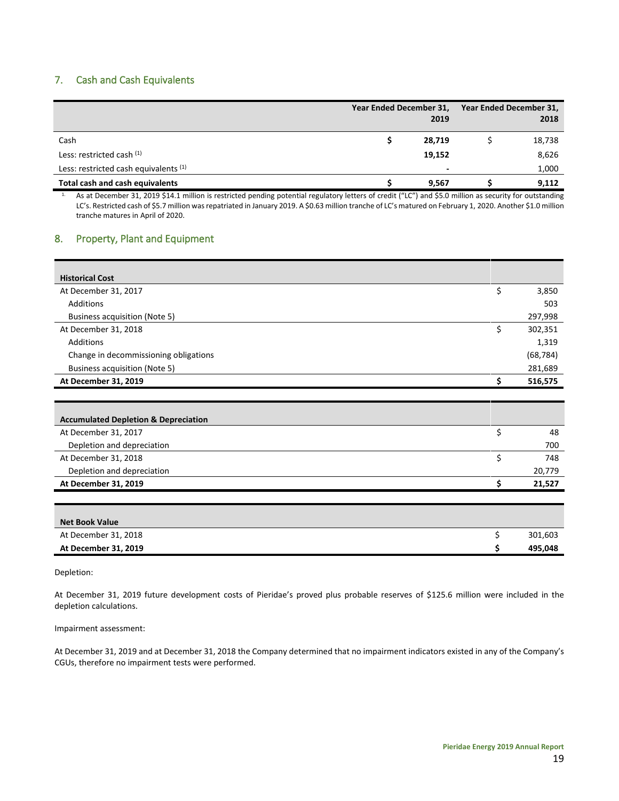# 7. Cash and Cash Equivalents

|                                       | Year Ended December 31, Year Ended December 31, | 2019   | 2018   |
|---------------------------------------|-------------------------------------------------|--------|--------|
| Cash                                  |                                                 | 28,719 | 18,738 |
| Less: restricted cash (1)             |                                                 | 19,152 | 8,626  |
| Less: restricted cash equivalents (1) |                                                 |        | 1,000  |
| Total cash and cash equivalents       |                                                 | 9,567  | 9,112  |

<sup>1.</sup> As at December 31, 2019 \$14.1 million is restricted pending potential regulatory letters of credit ("LC") and \$5.0 million as security for outstanding LC's. Restricted cash of \$5.7 million was repatriated in January 2019. A \$0.63 million tranche of LC's matured on February 1, 2020. Another \$1.0 million tranche matures in April of 2020.

# 8. Property, Plant and Equipment

| <b>Historical Cost</b>                          |    |           |
|-------------------------------------------------|----|-----------|
| At December 31, 2017                            | \$ | 3,850     |
| Additions                                       |    | 503       |
| Business acquisition (Note 5)                   |    | 297,998   |
| At December 31, 2018                            | \$ | 302,351   |
| Additions                                       |    | 1,319     |
| Change in decommissioning obligations           |    | (68, 784) |
| <b>Business acquisition (Note 5)</b>            |    | 281,689   |
| At December 31, 2019                            | Ś  | 516,575   |
|                                                 |    |           |
|                                                 |    |           |
|                                                 |    |           |
| <b>Accumulated Depletion &amp; Depreciation</b> |    |           |
| At December 31, 2017                            | \$ | 48        |
| Depletion and depreciation                      |    | 700       |
| At December 31, 2018                            | \$ | 748       |
| Depletion and depreciation                      |    | 20,779    |
| At December 31, 2019                            | \$ | 21,527    |
|                                                 |    |           |
|                                                 |    |           |
| <b>Net Book Value</b>                           |    |           |

Depletion:

At December 31, 2019 future development costs of Pieridae's proved plus probable reserves of \$125.6 million were included in the depletion calculations.

**At December 31, 2019 \$ 495,048**

Impairment assessment:

At December 31, 2019 and at December 31, 2018 the Company determined that no impairment indicators existed in any of the Company's CGUs, therefore no impairment tests were performed.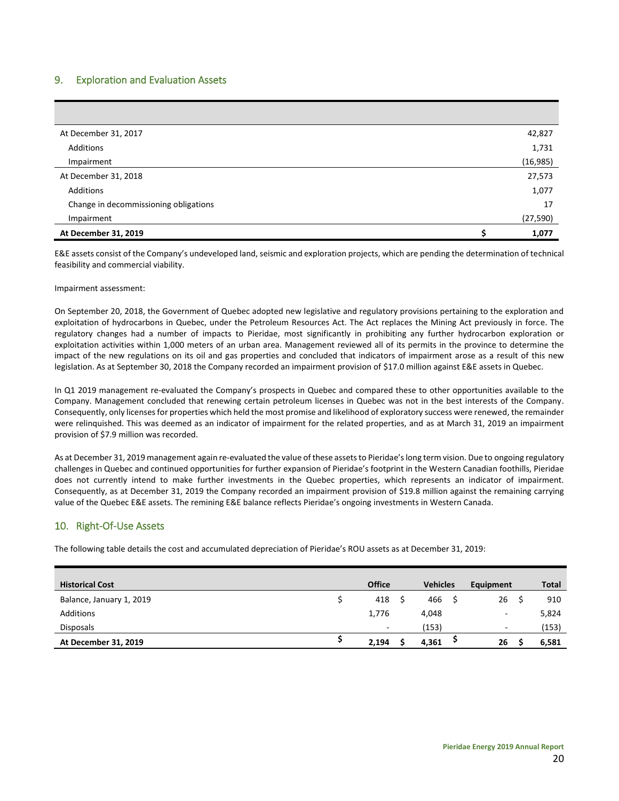# 9. Exploration and Evaluation Assets

| At December 31, 2017                  | 42,827    |
|---------------------------------------|-----------|
| Additions                             | 1,731     |
| Impairment                            | (16, 985) |
| At December 31, 2018                  | 27,573    |
| Additions                             | 1,077     |
| Change in decommissioning obligations | 17        |
| Impairment                            | (27, 590) |
| At December 31, 2019                  | 1,077     |

E&E assets consist of the Company's undeveloped land, seismic and exploration projects, which are pending the determination of technical feasibility and commercial viability.

#### Impairment assessment:

On September 20, 2018, the Government of Quebec adopted new legislative and regulatory provisions pertaining to the exploration and exploitation of hydrocarbons in Quebec, under the Petroleum Resources Act. The Act replaces the Mining Act previously in force. The regulatory changes had a number of impacts to Pieridae, most significantly in prohibiting any further hydrocarbon exploration or exploitation activities within 1,000 meters of an urban area. Management reviewed all of its permits in the province to determine the impact of the new regulations on its oil and gas properties and concluded that indicators of impairment arose as a result of this new legislation. As at September 30, 2018 the Company recorded an impairment provision of \$17.0 million against E&E assets in Quebec.

In Q1 2019 management re-evaluated the Company's prospects in Quebec and compared these to other opportunities available to the Company. Management concluded that renewing certain petroleum licenses in Quebec was not in the best interests of the Company. Consequently, only licenses for properties which held the most promise and likelihood of exploratory success were renewed, the remainder were relinquished. This was deemed as an indicator of impairment for the related properties, and as at March 31, 2019 an impairment provision of \$7.9 million was recorded.

As at December 31, 2019 management again re-evaluated the value of these assets to Pieridae's long term vision. Due to ongoing regulatory challenges in Quebec and continued opportunities for further expansion of Pieridae's footprint in the Western Canadian foothills, Pieridae does not currently intend to make further investments in the Quebec properties, which represents an indicator of impairment. Consequently, as at December 31, 2019 the Company recorded an impairment provision of \$19.8 million against the remaining carrying value of the Quebec E&E assets. The remining E&E balance reflects Pieridae's ongoing investments in Western Canada.

# 10. Right-Of-Use Assets

The following table details the cost and accumulated depreciation of Pieridae's ROU assets as at December 31, 2019:

| <b>Historical Cost</b>   | Office | <b>Vehicles</b> | Equipment                | <b>Total</b> |
|--------------------------|--------|-----------------|--------------------------|--------------|
| Balance, January 1, 2019 | 418    | 466             | 26                       | 910          |
| Additions                | 1,776  | 4,048           | ٠                        | 5,824        |
| <b>Disposals</b>         | $\sim$ | (153)           | $\overline{\phantom{a}}$ | (153)        |
| At December 31, 2019     | 2,194  | 4.361           | 26                       | 6,581        |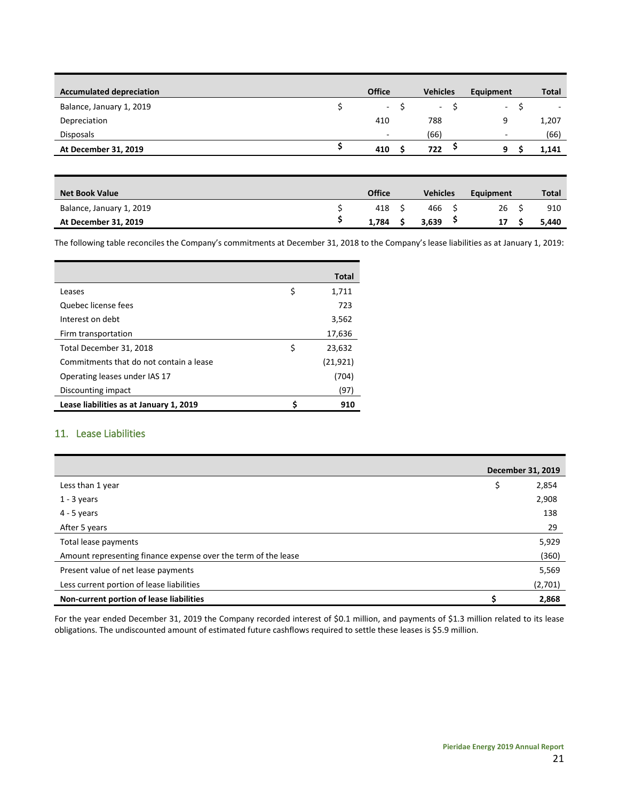| <b>Accumulated depreciation</b> | <b>Office</b>    | <b>Vehicles</b> | Equipment | <b>Total</b> |
|---------------------------------|------------------|-----------------|-----------|--------------|
| Balance, January 1, 2019        | $\sim$ 100 $\pm$ | $\sim$          | $\sim$    |              |
| Depreciation                    | 410              | 788             | 9         | 1,207        |
| <b>Disposals</b>                | $\overline{a}$   | (66)            | ۰         | (66)         |
| At December 31, 2019            | 410              | 722             | 9         | 1,141        |
|                                 |                  |                 |           |              |

| <b>Net Book Value</b>    | <b>Office</b> | <b>Vehicles</b> | Equipment | Total |
|--------------------------|---------------|-----------------|-----------|-------|
| Balance, January 1, 2019 | 418           | 466             | 26        | 910   |
| At December 31, 2019     | 1.784         | 3.639           | 17        | 5.440 |

The following table reconciles the Company's commitments at December 31, 2018 to the Company's lease liabilities as at January 1, 2019:

|                                         | Total        |
|-----------------------------------------|--------------|
| Leases                                  | \$<br>1,711  |
| Quebec license fees                     | 723          |
| Interest on debt                        | 3,562        |
| Firm transportation                     | 17,636       |
| Total December 31, 2018                 | \$<br>23,632 |
| Commitments that do not contain a lease | (21, 921)    |
| Operating leases under IAS 17           | (704)        |
| Discounting impact                      | (97)         |
| Lease liabilities as at January 1, 2019 | 910          |

# 11. Lease Liabilities

|                                                                | December 31, 2019 |
|----------------------------------------------------------------|-------------------|
| Less than 1 year                                               | \$<br>2,854       |
| $1 - 3$ years                                                  | 2,908             |
| $4 - 5$ years                                                  | 138               |
| After 5 years                                                  | 29                |
| Total lease payments                                           | 5,929             |
| Amount representing finance expense over the term of the lease | (360)             |
| Present value of net lease payments                            | 5,569             |
| Less current portion of lease liabilities                      | (2,701)           |
| Non-current portion of lease liabilities                       | 2,868             |

For the year ended December 31, 2019 the Company recorded interest of \$0.1 million, and payments of \$1.3 million related to its lease obligations. The undiscounted amount of estimated future cashflows required to settle these leases is \$5.9 million.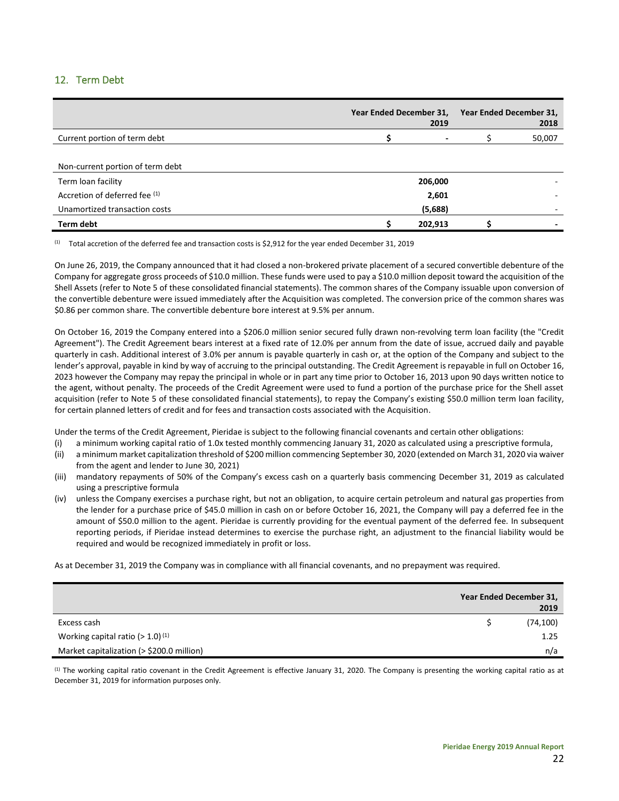# 12. Term Debt

|                                  | Year Ended December 31, | 2019    | Year Ended December 31,<br>2018 |        |  |
|----------------------------------|-------------------------|---------|---------------------------------|--------|--|
| Current portion of term debt     |                         |         |                                 | 50,007 |  |
|                                  |                         |         |                                 |        |  |
| Non-current portion of term debt |                         |         |                                 |        |  |
| Term loan facility               |                         | 206,000 |                                 |        |  |
| Accretion of deferred fee (1)    |                         | 2,601   |                                 |        |  |
| Unamortized transaction costs    |                         | (5,688) |                                 |        |  |
| Term debt                        |                         | 202,913 |                                 |        |  |

(1) Total accretion of the deferred fee and transaction costs is \$2,912 for the year ended December 31, 2019

On June 26, 2019, the Company announced that it had closed a non-brokered private placement of a secured convertible debenture of the Company for aggregate gross proceeds of \$10.0 million. These funds were used to pay a \$10.0 million deposit toward the acquisition of the Shell Assets (refer to Note 5 of these consolidated financial statements). The common shares of the Company issuable upon conversion of the convertible debenture were issued immediately after the Acquisition was completed. The conversion price of the common shares was \$0.86 per common share. The convertible debenture bore interest at 9.5% per annum.

On October 16, 2019 the Company entered into a \$206.0 million senior secured fully drawn non-revolving term loan facility (the "Credit Agreement"). The Credit Agreement bears interest at a fixed rate of 12.0% per annum from the date of issue, accrued daily and payable quarterly in cash. Additional interest of 3.0% per annum is payable quarterly in cash or, at the option of the Company and subject to the lender's approval, payable in kind by way of accruing to the principal outstanding. The Credit Agreement is repayable in full on October 16, 2023 however the Company may repay the principal in whole or in part any time prior to October 16, 2013 upon 90 days written notice to the agent, without penalty. The proceeds of the Credit Agreement were used to fund a portion of the purchase price for the Shell asset acquisition (refer to Note 5 of these consolidated financial statements), to repay the Company's existing \$50.0 million term loan facility, for certain planned letters of credit and for fees and transaction costs associated with the Acquisition.

Under the terms of the Credit Agreement, Pieridae is subject to the following financial covenants and certain other obligations:

- (i) a minimum working capital ratio of 1.0x tested monthly commencing January 31, 2020 as calculated using a prescriptive formula,
- (ii) a minimum market capitalization threshold of \$200 million commencing September 30, 2020 (extended on March 31, 2020 via waiver from the agent and lender to June 30, 2021)
- (iii) mandatory repayments of 50% of the Company's excess cash on a quarterly basis commencing December 31, 2019 as calculated using a prescriptive formula
- (iv) unless the Company exercises a purchase right, but not an obligation, to acquire certain petroleum and natural gas properties from the lender for a purchase price of \$45.0 million in cash on or before October 16, 2021, the Company will pay a deferred fee in the amount of \$50.0 million to the agent. Pieridae is currently providing for the eventual payment of the deferred fee. In subsequent reporting periods, if Pieridae instead determines to exercise the purchase right, an adjustment to the financial liability would be required and would be recognized immediately in profit or loss.

As at December 31, 2019 the Company was in compliance with all financial covenants, and no prepayment was required.

|                                                 | Year Ended December 31,<br>2019 |
|-------------------------------------------------|---------------------------------|
| Excess cash                                     | (74, 100)                       |
| Working capital ratio ( $>$ 1.0) <sup>(1)</sup> | 1.25                            |
| Market capitalization (> \$200.0 million)       | n/a                             |

(1) The working capital ratio covenant in the Credit Agreement is effective January 31, 2020. The Company is presenting the working capital ratio as at December 31, 2019 for information purposes only.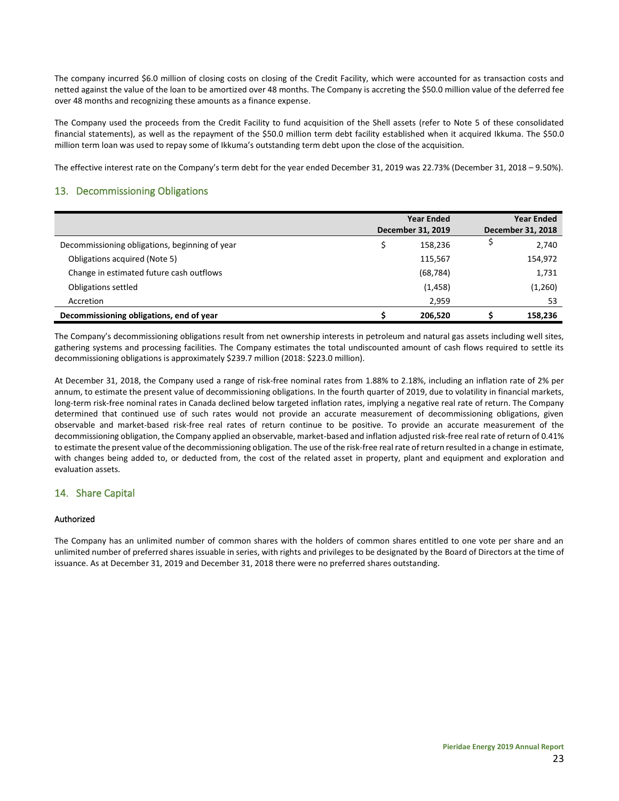The company incurred \$6.0 million of closing costs on closing of the Credit Facility, which were accounted for as transaction costs and netted against the value of the loan to be amortized over 48 months. The Company is accreting the \$50.0 million value of the deferred fee over 48 months and recognizing these amounts as a finance expense.

The Company used the proceeds from the Credit Facility to fund acquisition of the Shell assets (refer to Note 5 of these consolidated financial statements), as well as the repayment of the \$50.0 million term debt facility established when it acquired Ikkuma. The \$50.0 million term loan was used to repay some of Ikkuma's outstanding term debt upon the close of the acquisition.

The effective interest rate on the Company's term debt for the year ended December 31, 2019 was 22.73% (December 31, 2018 – 9.50%).

# 13. Decommissioning Obligations

|                                                | <b>Year Ended</b><br>December 31, 2019 | <b>Year Ended</b><br><b>December 31, 2018</b> |         |  |  |
|------------------------------------------------|----------------------------------------|-----------------------------------------------|---------|--|--|
| Decommissioning obligations, beginning of year | 158,236                                |                                               | 2,740   |  |  |
| Obligations acquired (Note 5)                  | 115,567                                |                                               | 154,972 |  |  |
| Change in estimated future cash outflows       | (68, 784)                              |                                               | 1,731   |  |  |
| Obligations settled                            | (1, 458)                               |                                               | (1,260) |  |  |
| Accretion                                      | 2.959                                  |                                               | 53      |  |  |
| Decommissioning obligations, end of year       | 206,520                                |                                               | 158,236 |  |  |

The Company's decommissioning obligations result from net ownership interests in petroleum and natural gas assets including well sites, gathering systems and processing facilities. The Company estimates the total undiscounted amount of cash flows required to settle its decommissioning obligations is approximately \$239.7 million (2018: \$223.0 million).

At December 31, 2018, the Company used a range of risk-free nominal rates from 1.88% to 2.18%, including an inflation rate of 2% per annum, to estimate the present value of decommissioning obligations. In the fourth quarter of 2019, due to volatility in financial markets, long-term risk-free nominal rates in Canada declined below targeted inflation rates, implying a negative real rate of return. The Company determined that continued use of such rates would not provide an accurate measurement of decommissioning obligations, given observable and market-based risk-free real rates of return continue to be positive. To provide an accurate measurement of the decommissioning obligation, the Company applied an observable, market-based and inflation adjusted risk-free real rate of return of 0.41% to estimate the present value of the decommissioning obligation. The use of the risk-free real rate of return resulted in a change in estimate, with changes being added to, or deducted from, the cost of the related asset in property, plant and equipment and exploration and evaluation assets.

# 14. Share Capital

### Authorized

The Company has an unlimited number of common shares with the holders of common shares entitled to one vote per share and an unlimited number of preferred shares issuable in series, with rights and privileges to be designated by the Board of Directors at the time of issuance. As at December 31, 2019 and December 31, 2018 there were no preferred shares outstanding.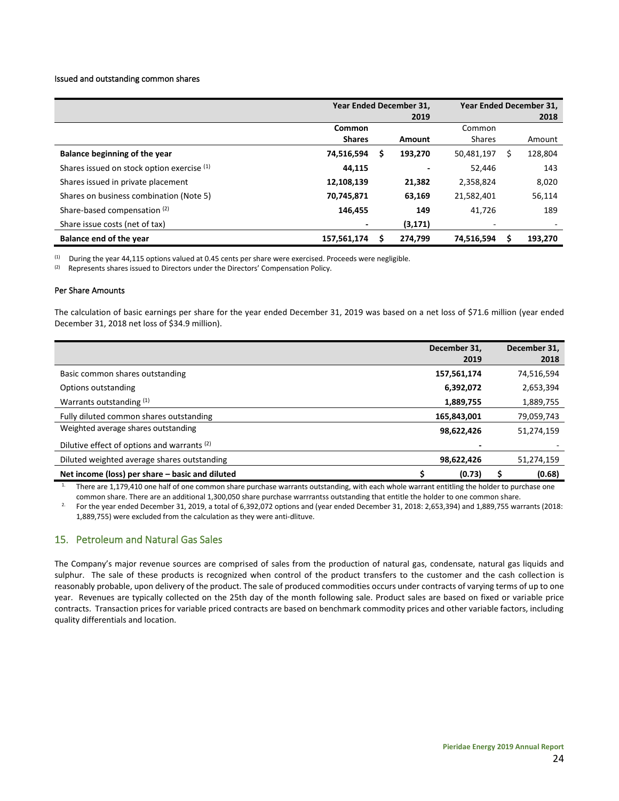### Issued and outstanding common shares

|                                            | Year Ended December 31, |   |          | Year Ended December 31, |   |         |  |
|--------------------------------------------|-------------------------|---|----------|-------------------------|---|---------|--|
|                                            | 2019                    |   |          |                         |   |         |  |
|                                            | Common                  |   |          | Common                  |   |         |  |
|                                            | <b>Shares</b>           |   | Amount   | <b>Shares</b>           |   | Amount  |  |
| Balance beginning of the year              | 74,516,594              | S | 193,270  | 50,481,197              | S | 128,804 |  |
| Shares issued on stock option exercise (1) | 44,115                  |   |          | 52.446                  |   | 143     |  |
| Shares issued in private placement         | 12,108,139              |   | 21,382   | 2,358,824               |   | 8,020   |  |
| Shares on business combination (Note 5)    | 70,745,871              |   | 63,169   | 21,582,401              |   | 56,114  |  |
| Share-based compensation (2)               | 146,455                 |   | 149      | 41,726                  |   | 189     |  |
| Share issue costs (net of tax)             |                         |   | (3, 171) | ٠                       |   |         |  |
| Balance end of the year                    | 157,561,174             | S | 274.799  | 74,516,594              |   | 193,270 |  |

(1) During the year 44,115 options valued at 0.45 cents per share were exercised. Proceeds were negligible.<br>(2) Bonresents shares issued to Directors under the Directors' Compensation Policy

Represents shares issued to Directors under the Directors' Compensation Policy.

#### Per Share Amounts

The calculation of basic earnings per share for the year ended December 31, 2019 was based on a net loss of \$71.6 million (year ended December 31, 2018 net loss of \$34.9 million).

|                                                 | December 31,             | December 31, |
|-------------------------------------------------|--------------------------|--------------|
|                                                 | 2019                     | 2018         |
| Basic common shares outstanding                 | 157,561,174              | 74,516,594   |
| Options outstanding                             | 6,392,072                | 2,653,394    |
| Warrants outstanding (1)                        | 1,889,755                | 1,889,755    |
| Fully diluted common shares outstanding         | 165,843,001              | 79,059,743   |
| Weighted average shares outstanding             | 98,622,426               | 51,274,159   |
| Dilutive effect of options and warrants (2)     | $\overline{\phantom{0}}$ |              |
| Diluted weighted average shares outstanding     | 98,622,426               | 51,274,159   |
| Net income (loss) per share – basic and diluted | (0.73)                   | (0.68)       |

<sup>1</sup> There are 1,179,410 one half of one common share purchase warrants outstanding, with each whole warrant entitling the holder to purchase one common share. There are an additional 1,300,050 share purchase warrrantss outstanding that entitle the holder to one common share.

<sup>2</sup> For the year ended December 31, 2019, a total of 6,392,072 options and (year ended December 31, 2018: 2,653,394) and 1,889,755 warrants (2018: 1,889,755) were excluded from the calculation as they were anti-dlituve.

# 15. Petroleum and Natural Gas Sales

The Company's major revenue sources are comprised of sales from the production of natural gas, condensate, natural gas liquids and sulphur. The sale of these products is recognized when control of the product transfers to the customer and the cash collection is reasonably probable, upon delivery of the product. The sale of produced commodities occurs under contracts of varying terms of up to one year. Revenues are typically collected on the 25th day of the month following sale. Product sales are based on fixed or variable price contracts. Transaction prices for variable priced contracts are based on benchmark commodity prices and other variable factors, including quality differentials and location.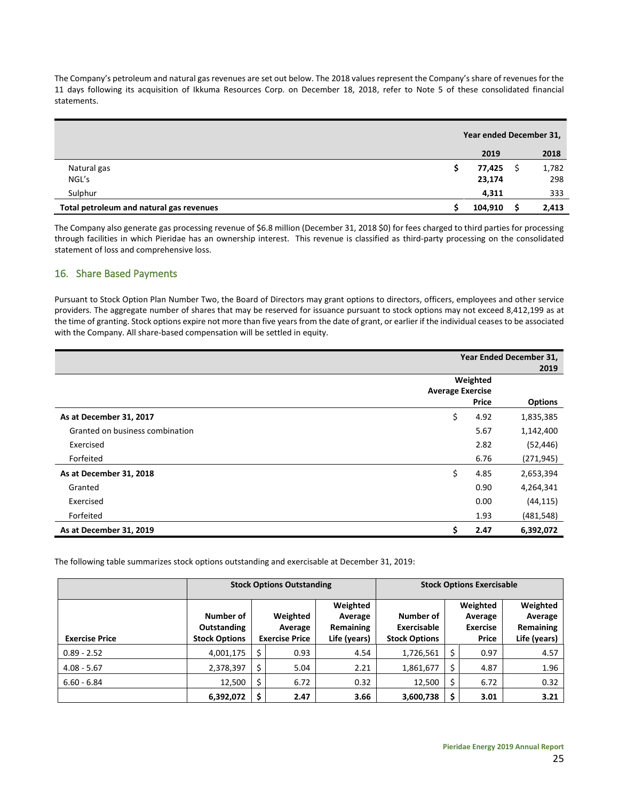The Company's petroleum and natural gas revenues are set out below. The 2018 values represent the Company's share of revenues for the 11 days following its acquisition of Ikkuma Resources Corp. on December 18, 2018, refer to Note 5 of these consolidated financial statements.

|                                          |   | Year ended December 31, |       |  |  |  |
|------------------------------------------|---|-------------------------|-------|--|--|--|
|                                          |   | 2019                    | 2018  |  |  |  |
| Natural gas                              | S | 77,425                  | 1,782 |  |  |  |
| NGL's                                    |   | 23,174                  | 298   |  |  |  |
| Sulphur                                  |   | 4,311                   | 333   |  |  |  |
| Total petroleum and natural gas revenues |   | 104,910                 | 2,413 |  |  |  |

The Company also generate gas processing revenue of \$6.8 million (December 31, 2018 \$0) for fees charged to third parties for processing through facilities in which Pieridae has an ownership interest. This revenue is classified as third-party processing on the consolidated statement of loss and comprehensive loss.

# 16. Share Based Payments

Pursuant to Stock Option Plan Number Two, the Board of Directors may grant options to directors, officers, employees and other service providers. The aggregate number of shares that may be reserved for issuance pursuant to stock options may not exceed 8,412,199 as at the time of granting. Stock options expire not more than five years from the date of grant, or earlier if the individual ceases to be associated with the Company. All share-based compensation will be settled in equity.

|                                 | Year Ended December 31, |                |  |
|---------------------------------|-------------------------|----------------|--|
|                                 |                         | 2019           |  |
|                                 | Weighted                |                |  |
|                                 | <b>Average Exercise</b> |                |  |
|                                 | Price                   | <b>Options</b> |  |
| As at December 31, 2017         | \$<br>4.92              | 1,835,385      |  |
| Granted on business combination | 5.67                    | 1,142,400      |  |
| Exercised                       | 2.82                    | (52, 446)      |  |
| Forfeited                       | 6.76                    | (271, 945)     |  |
| As at December 31, 2018         | \$<br>4.85              | 2,653,394      |  |
| Granted                         | 0.90                    | 4,264,341      |  |
| Exercised                       | 0.00                    | (44, 115)      |  |
| Forfeited                       | 1.93                    | (481, 548)     |  |
| As at December 31, 2019         | Ś.<br>2.47              | 6,392,072      |  |

The following table summarizes stock options outstanding and exercisable at December 31, 2019:

|                       | <b>Stock Options Outstanding</b>                 |  |                                              | <b>Stock Options Exercisable</b>                 |                                                  |    |                                                 |                                                  |
|-----------------------|--------------------------------------------------|--|----------------------------------------------|--------------------------------------------------|--------------------------------------------------|----|-------------------------------------------------|--------------------------------------------------|
| <b>Exercise Price</b> | Number of<br>Outstanding<br><b>Stock Options</b> |  | Weighted<br>Average<br><b>Exercise Price</b> | Weighted<br>Average<br>Remaining<br>Life (years) | Number of<br>Exercisable<br><b>Stock Options</b> |    | Weighted<br>Average<br><b>Exercise</b><br>Price | Weighted<br>Average<br>Remaining<br>Life (years) |
| $0.89 - 2.52$         | 4,001,175                                        |  | 0.93                                         | 4.54                                             | 1,726,561                                        | \$ | 0.97                                            | 4.57                                             |
| $4.08 - 5.67$         | 2,378,397                                        |  | 5.04                                         | 2.21                                             | 1,861,677                                        | \$ | 4.87                                            | 1.96                                             |
| $6.60 - 6.84$         | 12,500                                           |  | 6.72                                         | 0.32                                             | 12,500                                           | \$ | 6.72                                            | 0.32                                             |
|                       | 6,392,072                                        |  | 2.47                                         | 3.66                                             | 3,600,738                                        | Ś  | 3.01                                            | 3.21                                             |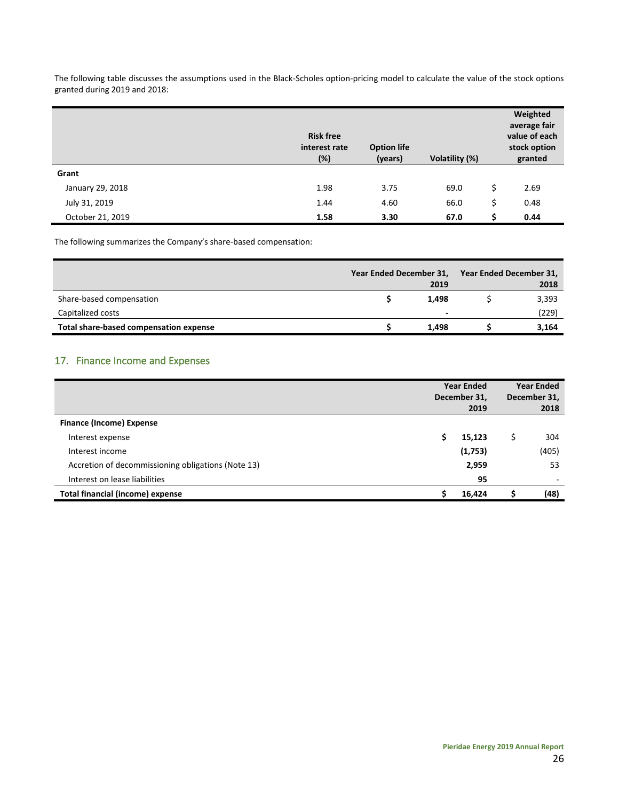The following table discusses the assumptions used in the Black-Scholes option-pricing model to calculate the value of the stock options granted during 2019 and 2018:

|                  | <b>Risk free</b><br>interest rate<br>$(\%)$ | <b>Option life</b><br>(years) |      |    | Weighted<br>average fair<br>value of each<br>stock option<br>granted |
|------------------|---------------------------------------------|-------------------------------|------|----|----------------------------------------------------------------------|
| Grant            |                                             |                               |      |    |                                                                      |
| January 29, 2018 | 1.98                                        | 3.75                          | 69.0 | \$ | 2.69                                                                 |
| July 31, 2019    | 1.44                                        | 4.60                          | 66.0 | \$ | 0.48                                                                 |
| October 21, 2019 | 1.58                                        | 3.30                          | 67.0 | S  | 0.44                                                                 |

The following summarizes the Company's share-based compensation:

|                                        | Year Ended December 31, | 2019                     | Year Ended December 31,<br>2018 |       |  |  |
|----------------------------------------|-------------------------|--------------------------|---------------------------------|-------|--|--|
| Share-based compensation               |                         | 1.498                    |                                 | 3,393 |  |  |
| Capitalized costs                      |                         | $\overline{\phantom{0}}$ |                                 | (229) |  |  |
| Total share-based compensation expense |                         | 1.498                    |                                 | 3,164 |  |  |

# 17. Finance Income and Expenses

|                                                    |              | <b>Year Ended</b> | <b>Year Ended</b> |              |
|----------------------------------------------------|--------------|-------------------|-------------------|--------------|
|                                                    | December 31, |                   |                   | December 31, |
|                                                    |              | 2019              |                   | 2018         |
| Finance (Income) Expense                           |              |                   |                   |              |
| Interest expense                                   |              | 15,123            |                   | 304          |
| Interest income                                    |              | (1,753)           |                   | (405)        |
| Accretion of decommissioning obligations (Note 13) |              | 2,959             |                   | 53           |
| Interest on lease liabilities                      |              | 95                |                   |              |
| <b>Total financial (income) expense</b>            |              | 16,424            |                   | (48)         |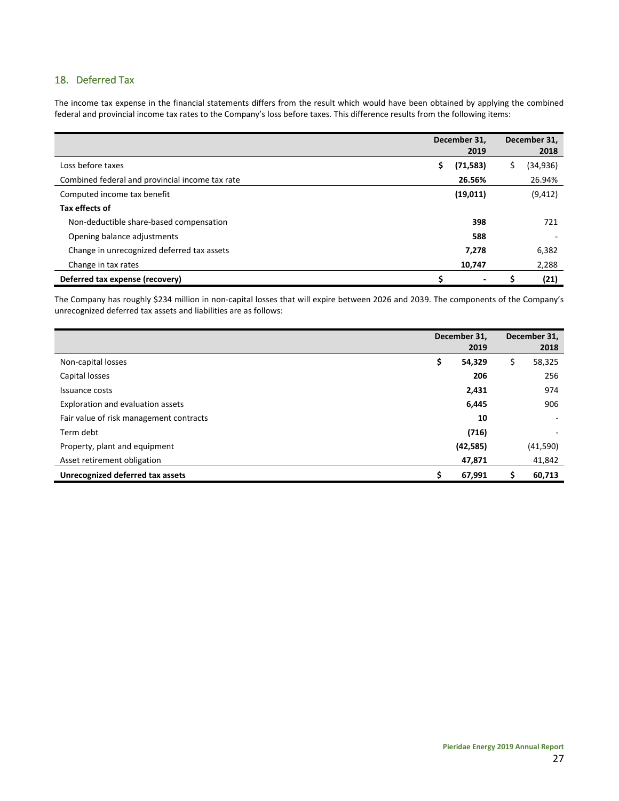# 18. Deferred Tax

The income tax expense in the financial statements differs from the result which would have been obtained by applying the combined federal and provincial income tax rates to the Company's loss before taxes. This difference results from the following items:

|                                                 | December 31,<br>2019 |           |   | December 31,<br>2018     |
|-------------------------------------------------|----------------------|-----------|---|--------------------------|
| Loss before taxes                               | \$                   | (71, 583) | S | (34, 936)                |
| Combined federal and provincial income tax rate |                      | 26.56%    |   | 26.94%                   |
| Computed income tax benefit                     |                      | (19,011)  |   | (9, 412)                 |
| Tax effects of                                  |                      |           |   |                          |
| Non-deductible share-based compensation         |                      | 398       |   | 721                      |
| Opening balance adjustments                     |                      | 588       |   | $\overline{\phantom{0}}$ |
| Change in unrecognized deferred tax assets      |                      | 7,278     |   | 6,382                    |
| Change in tax rates                             |                      | 10,747    |   | 2,288                    |
| Deferred tax expense (recovery)                 |                      |           |   | (21)                     |

The Company has roughly \$234 million in non-capital losses that will expire between 2026 and 2039. The components of the Company's unrecognized deferred tax assets and liabilities are as follows:

|                                         | December 31,<br>2019 |   | December 31,<br>2018 |
|-----------------------------------------|----------------------|---|----------------------|
| Non-capital losses                      | \$<br>54,329         | S | 58,325               |
| Capital losses                          | 206                  |   | 256                  |
| Issuance costs                          | 2,431                |   | 974                  |
| Exploration and evaluation assets       | 6,445                |   | 906                  |
| Fair value of risk management contracts | 10                   |   |                      |
| Term debt                               | (716)                |   |                      |
| Property, plant and equipment           | (42, 585)            |   | (41,590)             |
| Asset retirement obligation             | 47,871               |   | 41,842               |
| Unrecognized deferred tax assets        | \$<br>67,991         |   | 60,713               |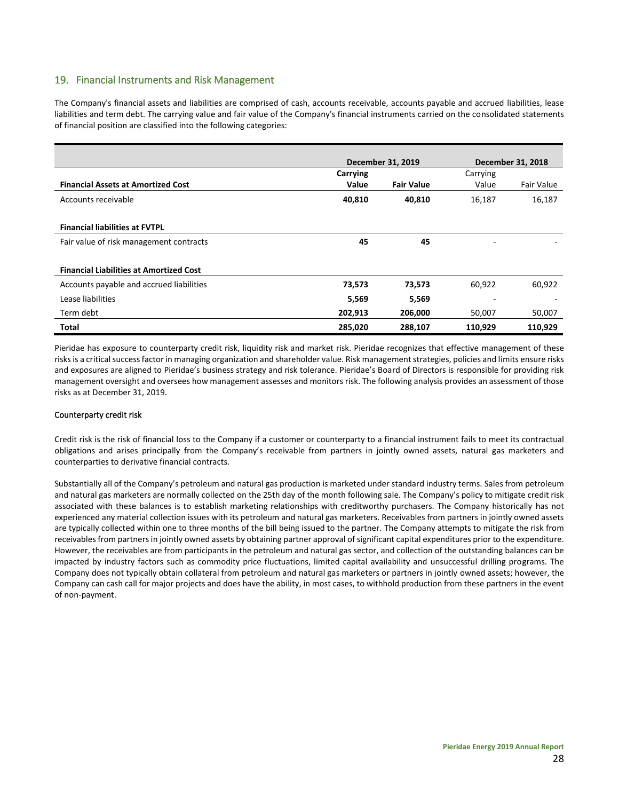# 19. Financial Instruments and Risk Management

The Company's financial assets and liabilities are comprised of cash, accounts receivable, accounts payable and accrued liabilities, lease liabilities and term debt. The carrying value and fair value of the Company's financial instruments carried on the consolidated statements of financial position are classified into the following categories:

|                                                |                   | December 31, 2019 | December 31, 2018 |                   |  |  |
|------------------------------------------------|-------------------|-------------------|-------------------|-------------------|--|--|
| <b>Financial Assets at Amortized Cost</b>      | Carrying<br>Value | <b>Fair Value</b> | Carrying<br>Value | <b>Fair Value</b> |  |  |
| Accounts receivable                            | 40,810            | 40,810            | 16,187            | 16,187            |  |  |
| <b>Financial liabilities at FVTPL</b>          |                   |                   |                   |                   |  |  |
| Fair value of risk management contracts        | 45                | 45                | ٠                 |                   |  |  |
| <b>Financial Liabilities at Amortized Cost</b> |                   |                   |                   |                   |  |  |
| Accounts payable and accrued liabilities       | 73,573            | 73,573            | 60,922            | 60,922            |  |  |
| Lease liabilities                              | 5,569             | 5,569             |                   |                   |  |  |
| Term debt                                      | 202,913           | 206,000           | 50,007            | 50,007            |  |  |
| Total                                          | 285,020           | 288,107           | 110,929           | 110,929           |  |  |

Pieridae has exposure to counterparty credit risk, liquidity risk and market risk. Pieridae recognizes that effective management of these risks is a critical success factor in managing organization and shareholder value. Risk management strategies, policies and limits ensure risks and exposures are aligned to Pieridae's business strategy and risk tolerance. Pieridae's Board of Directors is responsible for providing risk management oversight and oversees how management assesses and monitors risk. The following analysis provides an assessment of those risks as at December 31, 2019.

### Counterparty credit risk

Credit risk is the risk of financial loss to the Company if a customer or counterparty to a financial instrument fails to meet its contractual obligations and arises principally from the Company's receivable from partners in jointly owned assets, natural gas marketers and counterparties to derivative financial contracts.

Substantially all of the Company's petroleum and natural gas production is marketed under standard industry terms. Sales from petroleum and natural gas marketers are normally collected on the 25th day of the month following sale. The Company's policy to mitigate credit risk associated with these balances is to establish marketing relationships with creditworthy purchasers. The Company historically has not experienced any material collection issues with its petroleum and natural gas marketers. Receivables from partners in jointly owned assets are typically collected within one to three months of the bill being issued to the partner. The Company attempts to mitigate the risk from receivables from partners in jointly owned assets by obtaining partner approval of significant capital expenditures prior to the expenditure. However, the receivables are from participants in the petroleum and natural gas sector, and collection of the outstanding balances can be impacted by industry factors such as commodity price fluctuations, limited capital availability and unsuccessful drilling programs. The Company does not typically obtain collateral from petroleum and natural gas marketers or partners in jointly owned assets; however, the Company can cash call for major projects and does have the ability, in most cases, to withhold production from these partners in the event of non-payment.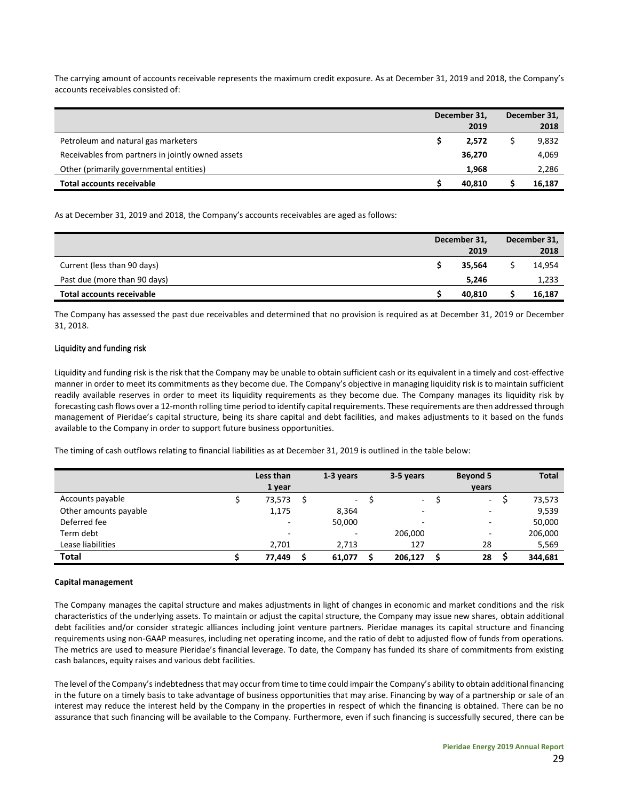The carrying amount of accounts receivable represents the maximum credit exposure. As at December 31, 2019 and 2018, the Company's accounts receivables consisted of:

|                                                   | December 31,<br>2019 | December 31,<br>2018 |
|---------------------------------------------------|----------------------|----------------------|
| Petroleum and natural gas marketers               | 2,572                | 9,832                |
| Receivables from partners in jointly owned assets | 36,270               | 4,069                |
| Other (primarily governmental entities)           | 1.968                | 2,286                |
| <b>Total accounts receivable</b>                  | 40.810               | 16,187               |

As at December 31, 2019 and 2018, the Company's accounts receivables are aged as follows:

|                                  | December 31,<br>2019 | December 31,<br>2018 |        |  |
|----------------------------------|----------------------|----------------------|--------|--|
| Current (less than 90 days)      | 35.564               |                      | 14,954 |  |
| Past due (more than 90 days)     | 5.246                |                      | 1,233  |  |
| <b>Total accounts receivable</b> | 40,810               |                      | 16,187 |  |

The Company has assessed the past due receivables and determined that no provision is required as at December 31, 2019 or December 31, 2018.

#### Liquidity and funding risk

Liquidity and funding risk is the risk that the Company may be unable to obtain sufficient cash or its equivalent in a timely and cost-effective manner in order to meet its commitments as they become due. The Company's objective in managing liquidity risk is to maintain sufficient readily available reserves in order to meet its liquidity requirements as they become due. The Company manages its liquidity risk by forecasting cash flows over a 12-month rolling time period to identify capital requirements. These requirements are then addressed through management of Pieridae's capital structure, being its share capital and debt facilities, and makes adjustments to it based on the funds available to the Company in order to support future business opportunities.

The timing of cash outflows relating to financial liabilities as at December 31, 2019 is outlined in the table below:

|                       | Less than                |    | 1-3 years      | 3-5 years | <b>Beyond 5</b> | <b>Total</b> |         |
|-----------------------|--------------------------|----|----------------|-----------|-----------------|--------------|---------|
|                       | 1 year                   |    |                |           |                 | years        |         |
| Accounts payable      | 73,573                   | -S | $\blacksquare$ |           | $\sim$          | $\sim$       | 73,573  |
| Other amounts payable | 1,175                    |    | 8,364          |           | -               | ۰            | 9,539   |
| Deferred fee          | ٠                        |    | 50,000         |           | ۰               | ۰            | 50,000  |
| Term debt             | $\overline{\phantom{a}}$ |    | -              |           | 206.000         | ٠            | 206,000 |
| Lease liabilities     | 2.701                    |    | 2,713          |           | 127             | 28           | 5,569   |
| <b>Total</b>          | 77,449                   |    | 61,077         |           | 206.127         | 28           | 344,681 |

#### **Capital management**

The Company manages the capital structure and makes adjustments in light of changes in economic and market conditions and the risk characteristics of the underlying assets. To maintain or adjust the capital structure, the Company may issue new shares, obtain additional debt facilities and/or consider strategic alliances including joint venture partners. Pieridae manages its capital structure and financing requirements using non-GAAP measures, including net operating income, and the ratio of debt to adjusted flow of funds from operations. The metrics are used to measure Pieridae's financial leverage. To date, the Company has funded its share of commitments from existing cash balances, equity raises and various debt facilities.

The level of the Company's indebtedness that may occur from time to time could impair the Company's ability to obtain additional financing in the future on a timely basis to take advantage of business opportunities that may arise. Financing by way of a partnership or sale of an interest may reduce the interest held by the Company in the properties in respect of which the financing is obtained. There can be no assurance that such financing will be available to the Company. Furthermore, even if such financing is successfully secured, there can be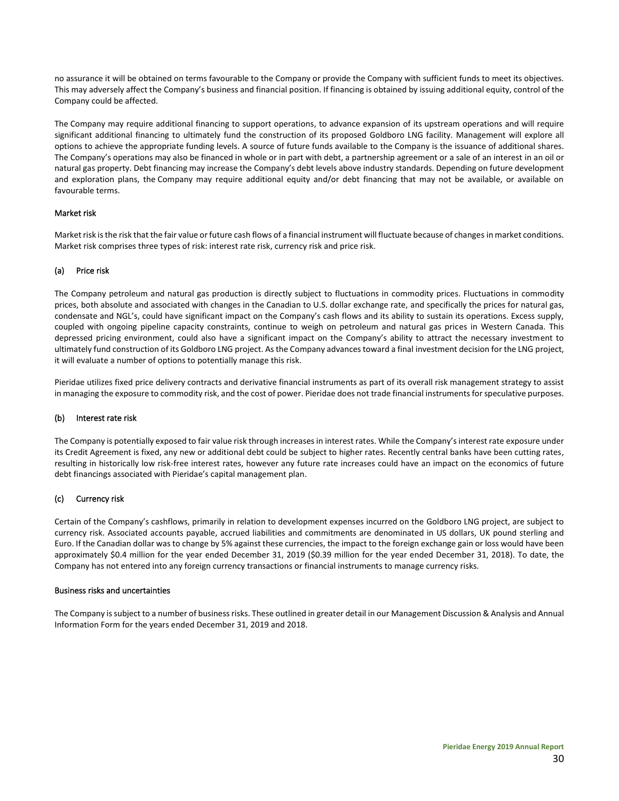no assurance it will be obtained on terms favourable to the Company or provide the Company with sufficient funds to meet its objectives. This may adversely affect the Company's business and financial position. If financing is obtained by issuing additional equity, control of the Company could be affected.

The Company may require additional financing to support operations, to advance expansion of its upstream operations and will require significant additional financing to ultimately fund the construction of its proposed Goldboro LNG facility. Management will explore all options to achieve the appropriate funding levels. A source of future funds available to the Company is the issuance of additional shares. The Company's operations may also be financed in whole or in part with debt, a partnership agreement or a sale of an interest in an oil or natural gas property. Debt financing may increase the Company's debt levels above industry standards. Depending on future development and exploration plans, the Company may require additional equity and/or debt financing that may not be available, or available on favourable terms.

### Market risk

Market risk is the risk that the fair value or future cash flows of a financial instrument will fluctuate because of changes in market conditions. Market risk comprises three types of risk: interest rate risk, currency risk and price risk.

### (a) Price risk

The Company petroleum and natural gas production is directly subject to fluctuations in commodity prices. Fluctuations in commodity prices, both absolute and associated with changes in the Canadian to U.S. dollar exchange rate, and specifically the prices for natural gas, condensate and NGL's, could have significant impact on the Company's cash flows and its ability to sustain its operations. Excess supply, coupled with ongoing pipeline capacity constraints, continue to weigh on petroleum and natural gas prices in Western Canada. This depressed pricing environment, could also have a significant impact on the Company's ability to attract the necessary investment to ultimately fund construction of its Goldboro LNG project. As the Company advances toward a final investment decision for the LNG project, it will evaluate a number of options to potentially manage this risk.

Pieridae utilizes fixed price delivery contracts and derivative financial instruments as part of its overall risk management strategy to assist in managing the exposure to commodity risk, and the cost of power. Pieridae does not trade financial instruments for speculative purposes.

### (b) Interest rate risk

The Company is potentially exposed to fair value risk through increases in interest rates. While the Company's interest rate exposure under its Credit Agreement is fixed, any new or additional debt could be subject to higher rates. Recently central banks have been cutting rates, resulting in historically low risk-free interest rates, however any future rate increases could have an impact on the economics of future debt financings associated with Pieridae's capital management plan.

### (c) Currency risk

Certain of the Company's cashflows, primarily in relation to development expenses incurred on the Goldboro LNG project, are subject to currency risk. Associated accounts payable, accrued liabilities and commitments are denominated in US dollars, UK pound sterling and Euro. If the Canadian dollar was to change by 5% against these currencies, the impact to the foreign exchange gain or loss would have been approximately \$0.4 million for the year ended December 31, 2019 (\$0.39 million for the year ended December 31, 2018). To date, the Company has not entered into any foreign currency transactions or financial instruments to manage currency risks.

#### Business risks and uncertainties

The Company is subject to a number of business risks. These outlined in greater detail in our Management Discussion & Analysis and Annual Information Form for the years ended December 31, 2019 and 2018.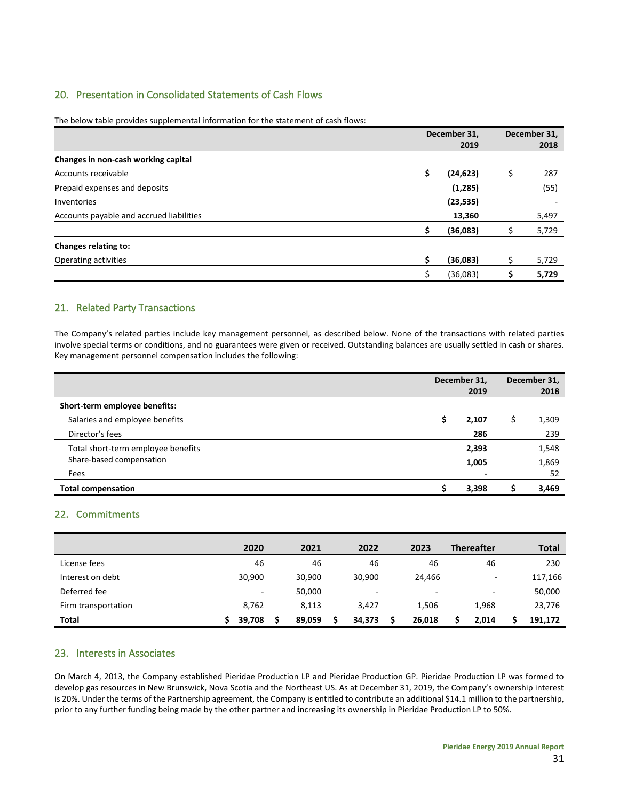# 20. Presentation in Consolidated Statements of Cash Flows

The below table provides supplemental information for the statement of cash flows:

|                                          |    | December 31, | December 31, |
|------------------------------------------|----|--------------|--------------|
|                                          |    | 2019         | 2018         |
| Changes in non-cash working capital      |    |              |              |
| Accounts receivable                      | \$ | (24, 623)    | \$<br>287    |
| Prepaid expenses and deposits            |    | (1,285)      | (55)         |
| Inventories                              |    | (23, 535)    |              |
| Accounts payable and accrued liabilities |    | 13,360       | 5,497        |
|                                          |    | (36,083)     | 5,729        |
| Changes relating to:                     |    |              |              |
| Operating activities                     | Ŝ  | (36,083)     | 5,729        |
|                                          |    | (36,083)     | 5,729        |

# 21. Related Party Transactions

The Company's related parties include key management personnel, as described below. None of the transactions with related parties involve special terms or conditions, and no guarantees were given or received. Outstanding balances are usually settled in cash or shares. Key management personnel compensation includes the following:

|                                    | December 31, | December 31, |
|------------------------------------|--------------|--------------|
|                                    | 2019         | 2018         |
| Short-term employee benefits:      |              |              |
| Salaries and employee benefits     | 2,107        | 1,309        |
| Director's fees                    | 286          | 239          |
| Total short-term employee benefits | 2,393        | 1,548        |
| Share-based compensation           | 1,005        | 1,869        |
| Fees                               |              | 52           |
| <b>Total compensation</b>          | 3,398        | 3,469        |

### 22. Commitments

|                     | 2020   | 2021   | 2022   | 2023   | <b>Thereafter</b>        | <b>Total</b> |
|---------------------|--------|--------|--------|--------|--------------------------|--------------|
| License fees        | 46     | 46     | 46     | 46     | 46                       | 230          |
| Interest on debt    | 30,900 | 30,900 | 30,900 | 24,466 | $\overline{\phantom{a}}$ | 117,166      |
| Deferred fee        | ٠      | 50,000 | -      | -      | -                        | 50,000       |
| Firm transportation | 8,762  | 8,113  | 3,427  | 1,506  | 1,968                    | 23,776       |
| Total               | 39,708 | 89.059 | 34,373 | 26,018 | 2.014                    | 191.172      |

# 23. Interests in Associates

On March 4, 2013, the Company established Pieridae Production LP and Pieridae Production GP. Pieridae Production LP was formed to develop gas resources in New Brunswick, Nova Scotia and the Northeast US. As at December 31, 2019, the Company's ownership interest is 20%. Under the terms of the Partnership agreement, the Company is entitled to contribute an additional \$14.1 million to the partnership, prior to any further funding being made by the other partner and increasing its ownership in Pieridae Production LP to 50%.